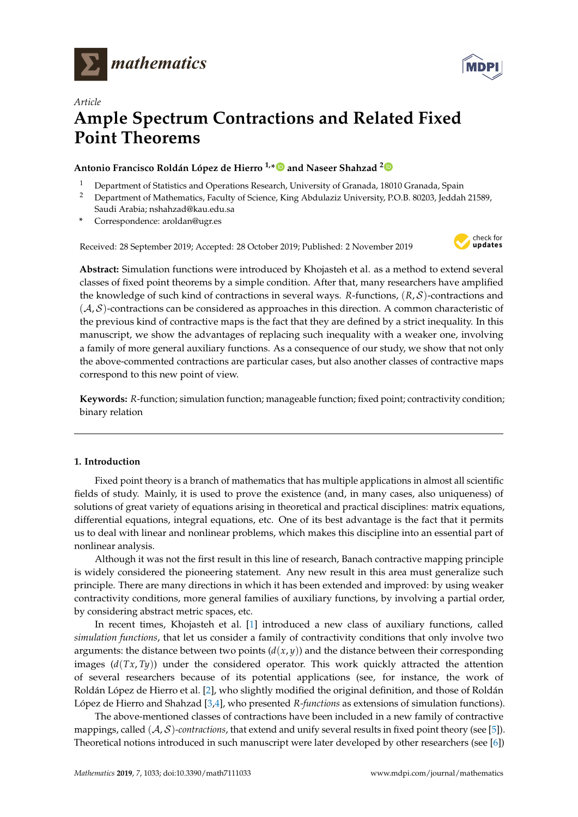



# *Article* **Ample Spectrum Contractions and Related Fixed Point Theorems**

# **Antonio Francisco Roldán López de Hierro 1,[\\*](https://orcid.org/0000-0002-6956-4328) and Naseer Shahzad [2](https://orcid.org/0000-0001-7155-5917)**

- <sup>1</sup> Department of Statistics and Operations Research, University of Granada, 18010 Granada, Spain
- <sup>2</sup> Department of Mathematics, Faculty of Science, King Abdulaziz University, P.O.B. 80203, Jeddah 21589, Saudi Arabia; nshahzad@kau.edu.sa
- **\*** Correspondence: aroldan@ugr.es

Received: 28 September 2019; Accepted: 28 October 2019; Published: 2 November 2019



**Abstract:** Simulation functions were introduced by Khojasteh et al. as a method to extend several classes of fixed point theorems by a simple condition. After that, many researchers have amplified the knowledge of such kind of contractions in several ways. *R*-functions, (*R*, S)-contractions and  $(\mathcal{A}, \mathcal{S})$ -contractions can be considered as approaches in this direction. A common characteristic of the previous kind of contractive maps is the fact that they are defined by a strict inequality. In this manuscript, we show the advantages of replacing such inequality with a weaker one, involving a family of more general auxiliary functions. As a consequence of our study, we show that not only the above-commented contractions are particular cases, but also another classes of contractive maps correspond to this new point of view.

**Keywords:** *R*-function; simulation function; manageable function; fixed point; contractivity condition; binary relation

# **1. Introduction**

Fixed point theory is a branch of mathematics that has multiple applications in almost all scientific fields of study. Mainly, it is used to prove the existence (and, in many cases, also uniqueness) of solutions of great variety of equations arising in theoretical and practical disciplines: matrix equations, differential equations, integral equations, etc. One of its best advantage is the fact that it permits us to deal with linear and nonlinear problems, which makes this discipline into an essential part of nonlinear analysis.

Although it was not the first result in this line of research, Banach contractive mapping principle is widely considered the pioneering statement. Any new result in this area must generalize such principle. There are many directions in which it has been extended and improved: by using weaker contractivity conditions, more general families of auxiliary functions, by involving a partial order, by considering abstract metric spaces, etc.

In recent times, Khojasteh et al. [\[1\]](#page-21-0) introduced a new class of auxiliary functions, called *simulation functions*, that let us consider a family of contractivity conditions that only involve two arguments: the distance between two points  $(d(x, y))$  and the distance between their corresponding images  $(d(Tx, Ty))$  under the considered operator. This work quickly attracted the attention of several researchers because of its potential applications (see, for instance, the work of Roldán López de Hierro et al. [\[2\]](#page-21-1), who slightly modified the original definition, and those of Roldán López de Hierro and Shahzad [\[3](#page-21-2)[,4\]](#page-22-0), who presented *R-functions* as extensions of simulation functions).

The above-mentioned classes of contractions have been included in a new family of contractive mappings, called (A, S)*-contractions*, that extend and unify several results in fixed point theory (see [\[5\]](#page-22-1)). Theoretical notions introduced in such manuscript were later developed by other researchers (see [\[6\]](#page-22-2))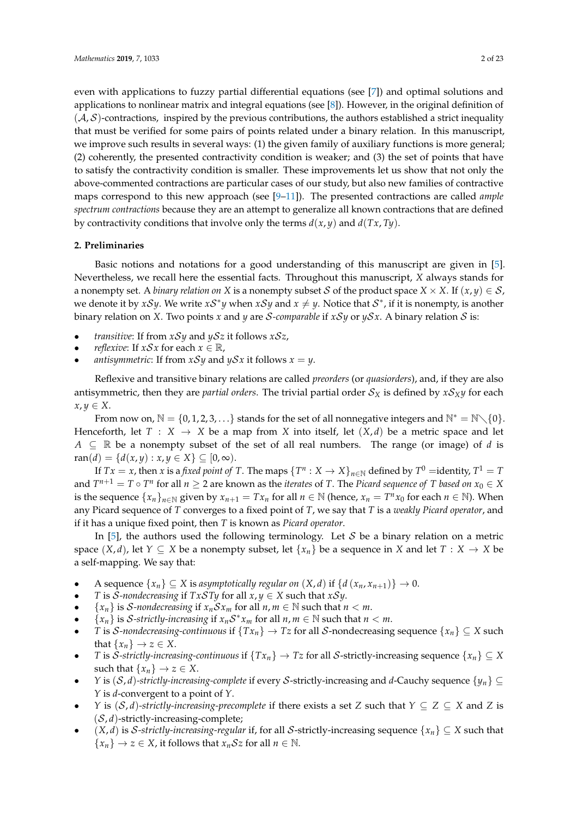even with applications to fuzzy partial differential equations (see [\[7\]](#page-22-3)) and optimal solutions and applications to nonlinear matrix and integral equations (see  $[8]$ ). However, in the original definition of  $(A, S)$ -contractions, inspired by the previous contributions, the authors established a strict inequality that must be verified for some pairs of points related under a binary relation. In this manuscript, we improve such results in several ways: (1) the given family of auxiliary functions is more general; (2) coherently, the presented contractivity condition is weaker; and (3) the set of points that have to satisfy the contractivity condition is smaller. These improvements let us show that not only the above-commented contractions are particular cases of our study, but also new families of contractive maps correspond to this new approach (see [\[9](#page-22-5)[–11\]](#page-22-6)). The presented contractions are called *ample spectrum contractions* because they are an attempt to generalize all known contractions that are defined by contractivity conditions that involve only the terms *d*(*x*, *y*) and *d*(*Tx*, *Ty*).

## **2. Preliminaries**

Basic notions and notations for a good understanding of this manuscript are given in [\[5\]](#page-22-1). Nevertheless, we recall here the essential facts. Throughout this manuscript, *X* always stands for a nonempty set. A *binary relation on X* is a nonempty subset *S* of the product space *X* × *X*. If  $(x, y) \in S$ , we denote it by *xSy*. We write *xS*<sup>\*</sup>*y* when *xSy* and  $x \neq y$ . Notice that *S*<sup>\*</sup>, if it is nonempty, is another binary relation on *X*. Two points *x* and *y* are *S*-comparable if *xSy* or *ySx*. A binary relation *S* is:

- *transitive*: If from  $xSy$  and  $ySz$  it follows  $xSz$ ,
- *reflexive*: If  $xSx$  for each  $x \in \mathbb{R}$ ,
- *antisymmetric*: If from  $xSy$  and  $ySx$  it follows  $x = y$ .

Reflexive and transitive binary relations are called *preorders* (or *quasiorders*), and, if they are also antisymmetric, then they are *partial orders*. The trivial partial order  $S_X$  is defined by  $xS_Xy$  for each  $x, y \in X$ .

From now on,  $\mathbb{N} = \{0, 1, 2, 3, \ldots\}$  stands for the set of all nonnegative integers and  $\mathbb{N}^* = \mathbb{N} \setminus \{0\}$ . Henceforth, let  $T : X \to X$  be a map from X into itself, let  $(X,d)$  be a metric space and let *A* ⊆ R be a nonempty subset of the set of all real numbers. The range (or image) of *d* is  $ran(d) = {d(x,y) : x, y \in X}$  ⊆ [0, ∞).

If  $Tx = x$ , then  $x$  is a *fixed point of T*. The maps  $\{T^n : X \to X\}_{n \in \mathbb{N}}$  defined by  $T^0 =$ identity,  $T^1 = T$ and  $T^{n+1} = T \circ T^n$  for all  $n \geq 2$  are known as the *iterates* of *T*. The *Picard sequence of T* based on  $x_0 \in X$ is the sequence  $\{x_n\}_{n\in\mathbb{N}}$  given by  $x_{n+1} = Tx_n$  for all  $n \in \mathbb{N}$  (hence,  $x_n = T^n x_0$  for each  $n \in \mathbb{N}$ ). When any Picard sequence of *T* converges to a fixed point of *T*, we say that *T* is a *weakly Picard operator*, and if it has a unique fixed point, then *T* is known as *Picard operator*.

In [\[5\]](#page-22-1), the authors used the following terminology. Let  $S$  be a binary relation on a metric space  $(X, d)$ , let  $Y \subseteq X$  be a nonempty subset, let  $\{x_n\}$  be a sequence in *X* and let  $T : X \to X$  be a self-mapping. We say that:

- A sequence  $\{x_n\} \subseteq X$  is *asymptotically regular on*  $(X, d)$  if  $\{d(x_n, x_{n+1})\} \to 0$ .
- *T* is *S*-nondecreasing if  $TxSTy$  for all  $x, y \in X$  such that  $xSy$ .
- $\{x_n\}$  is *S*-nondecreasing if  $x_n S x_m$  for all  $n, m \in \mathbb{N}$  such that  $n < m$ .
- ${x_n}$  is *S*-strictly-increasing if  $x_nS^*x_m$  for all  $n, m \in \mathbb{N}$  such that  $n < m$ .
- *T* is *S*-nondecreasing-continuous if  $\{Tx_n\} \to Tz$  for all *S*-nondecreasing sequence  $\{x_n\} \subseteq X$  such that  $\{x_n\} \rightarrow z \in X$ .
- *T* is *S*-strictly-increasing-continuous if  $\{Tx_n\} \to Tz$  for all *S*-strictly-increasing sequence  $\{x_n\} \subseteq X$ such that  $\{x_n\} \rightarrow z \in X$ .
- *Y* is  $(S, d)$ -strictly-increasing-complete if every S-strictly-increasing and *d*-Cauchy sequence  $\{y_n\} \subseteq$ *Y* is *d*-convergent to a point of *Y*.
- *Y* is  $(S, d)$ -strictly-increasing-precomplete if there exists a set *Z* such that  $Y \subseteq Z \subseteq X$  and *Z* is (S, *d*)-strictly-increasing-complete;
- $(X, d)$  is S-strictly-increasing-regular if, for all S-strictly-increasing sequence  $\{x_n\} \subseteq X$  such that  ${x_n} \rightarrow z \in X$ , it follows that  $x_n \mathcal{S}z$  for all  $n \in \mathbb{N}$ .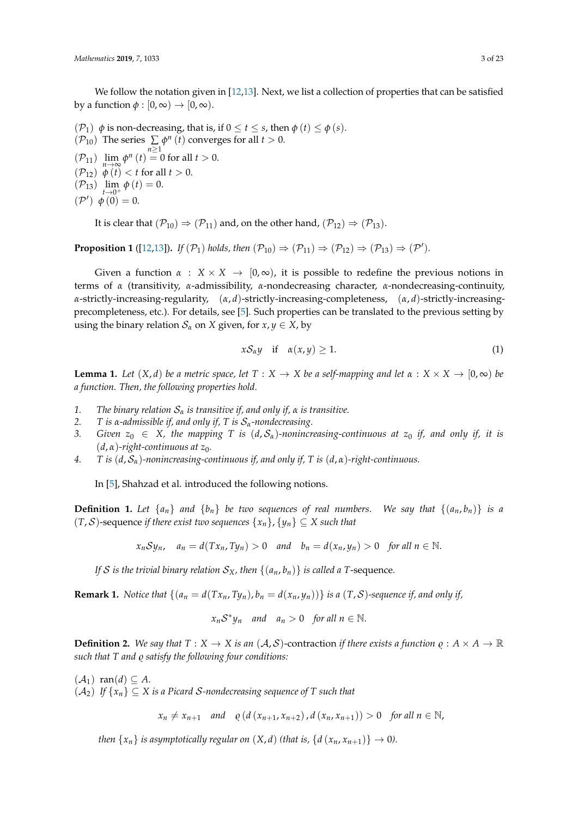We follow the notation given in [\[12,](#page-22-7)[13\]](#page-22-8). Next, we list a collection of properties that can be satisfied by a function  $\phi$  :  $[0,\infty) \rightarrow [0,\infty)$ .

( $P_1$ )  $\phi$  is non-decreasing, that is, if 0 ≤ *t* ≤ *s*, then  $\phi$  (*t*) ≤  $\phi$  (*s*). ( $\mathcal{P}_{10}$ ) The series  $\sum_{n\geq 1} \phi^n(t)$  converges for all  $t > 0$ .  $(\mathcal{P}_{11})$   $\lim_{n\to\infty}\phi^n(t) = 0$  for all  $t > 0$ .  $(\mathcal{P}_{12}) \overset{n\rightarrow\infty}{\phi(t)} < t$  for all  $t > 0$ .  $(\mathcal{P}_{13}) \lim_{t \to 0^+} \phi(t) = 0.$  $({\cal P}') \phi(0) = 0.$ 

It is clear that  $(\mathcal{P}_{10}) \Rightarrow (\mathcal{P}_{11})$  and, on the other hand,  $(\mathcal{P}_{12}) \Rightarrow (\mathcal{P}_{13})$ .

<span id="page-2-1"></span>**Proposition 1** ([\[12,](#page-22-7)[13\]](#page-22-8)). If  $(\mathcal{P}_1)$  holds, then  $(\mathcal{P}_{10}) \Rightarrow (\mathcal{P}_{11}) \Rightarrow (\mathcal{P}_{12}) \Rightarrow (\mathcal{P}_{13}) \Rightarrow (\mathcal{P}')$ .

Given a function  $\alpha : X \times X \to [0, \infty)$ , it is possible to redefine the previous notions in terms of *α* (transitivity, *α*-admissibility, *α*-nondecreasing character, *α*-nondecreasing-continuity, *α*-strictly-increasing-regularity, (*α*, *d*)-strictly-increasing-completeness, (*α*, *d*)-strictly-increasingprecompleteness, etc.). For details, see [\[5\]](#page-22-1). Such properties can be translated to the previous setting by using the binary relation  $S_\alpha$  on *X* given, for  $x, y \in X$ , by

<span id="page-2-0"></span>
$$
x\mathcal{S}_{\alpha}y \quad \text{if} \quad \alpha(x,y) \ge 1. \tag{1}
$$

<span id="page-2-2"></span>**Lemma 1.** Let  $(X, d)$  be a metric space, let  $T : X \to X$  be a self-mapping and let  $\alpha : X \times X \to [0, \infty)$  be *a function. Then, the following properties hold.*

- *1. The binary relation*  $S_\alpha$  *is transitive if, and only if,*  $\alpha$  *is transitive.*<br>*2. T is*  $\alpha$ *-admissible if, and only if. T is*  $S_\alpha$ *-nondecreasing.*
- *2. T* is *α*-admissible if, and only if, T is  $S_\alpha$ -nondecreasing.<br>3. Given  $z_0 \in X$ , the mapping T is  $(d, S_\alpha)$ -nonincr
- *Given*  $z_0 \in X$ , the mapping *T* is  $(d, S_\alpha)$ -nonincreasing-continuous at  $z_0$  if, and only if, it is (*d*, *α*)*-right-continuous at z*0*.*
- *4. T is* (*d*, S*α*)*-nonincreasing-continuous if, and only if, T is* (*d*, *α*)*-right-continuous.*

In [\[5\]](#page-22-1), Shahzad et al. introduced the following notions.

**Definition 1.** Let  $\{a_n\}$  and  $\{b_n\}$  be two sequences of real numbers. We say that  $\{(a_n, b_n)\}$  is a (*T*, S)-sequence *if there exist two sequences* {*xn*}, {*yn*} ⊆ *X such that*

$$
x_n Sy_n
$$
,  $a_n = d(Tx_n, Ty_n) > 0$  and  $b_n = d(x_n, y_n) > 0$  for all  $n \in \mathbb{N}$ .

*If S* is the trivial binary relation  $S_X$ , then  $\{(a_n, b_n)\}$  is called a T-sequence.

**Remark 1.** Notice that  $\{(a_n = d(Tx_n, Ty_n), b_n = d(x_n, y_n))\}$  is a  $(T, S)$ -sequence if, and only if,

$$
x_n S^* y_n
$$
 and  $a_n > 0$  for all  $n \in \mathbb{N}$ .

**Definition 2.** We say that  $T : X \to X$  is an  $(A, S)$ -contraction *if there exists a function*  $\rho : A \times A \to \mathbb{R}$ *such that T and*  $\rho$  *satisfy the following four conditions:* 

 $(A_1)$  ran $(d) \subseteq A$ .  $(A_2)$  *If*  $\{x_n\} \subseteq X$  *is a Picard S-nondecreasing sequence of* T *such that* 

 $x_n \neq x_{n+1}$  *and*  $\rho$  (*d* ( $x_{n+1}, x_{n+2}$ ), *d* ( $x_n, x_{n+1}$ )) > 0 *for all*  $n \in \mathbb{N}$ ,

*then*  $\{x_n\}$  *is asymptotically regular on*  $(X, d)$  *(that is,*  $\{d(x_n, x_{n+1})\} \rightarrow 0$ ).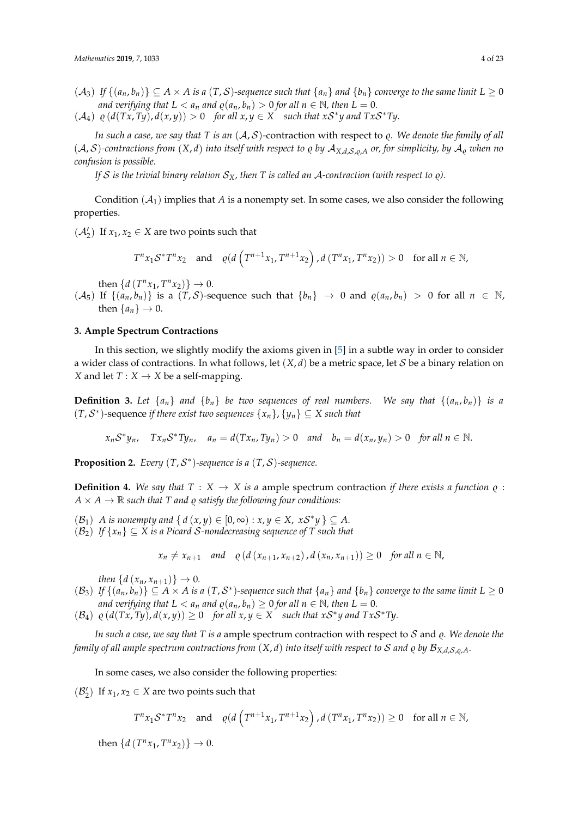- $(A_3)$  *If*  $\{(a_n, b_n)\}\subseteq A \times A$  *is a* (*T*, *S*)-sequence such that  $\{a_n\}$  *and*  $\{b_n\}$  *converge to the same limit*  $L \ge 0$ *and verifying that*  $L < a_n$  *and*  $\varrho(a_n, b_n) > 0$  *for all*  $n \in \mathbb{N}$ *, then*  $L = 0$ *.*
- $(A_4)$   $\varrho$   $(d(Tx, Ty), d(x, y)) > 0$  *for all*  $x, y \in X$  *such that*  $xS^*y$  *and*  $TxS^*Ty$ *.*

*In such a case, we say that T is an*  $(A, S)$ -contraction with respect to  $\varrho$ . We denote the family of all  $(A, S)$ -contractions from  $(X, d)$  into itself with respect to  $\varrho$  by  $A_{X,d,S,\varrho,A}$  or, for simplicity, by  $A_{\varrho}$  when no *confusion is possible.*

*If* S is the trivial binary relation  $S_X$ , then T is called an A-contraction (with respect to  $\rho$ ).

Condition  $(A_1)$  implies that *A* is a nonempty set. In some cases, we also consider the following properties.

 $(\mathcal{A}'_2)$  If  $x_1, x_2 \in X$  are two points such that

$$
T^{n}x_{1}\mathcal{S}^{*}T^{n}x_{2} \quad \text{and} \quad \varrho(d\left(T^{n+1}x_{1}, T^{n+1}x_{2}\right), d\left(T^{n}x_{1}, T^{n}x_{2}\right)) > 0 \quad \text{for all } n \in \mathbb{N},
$$

then  $\{d(T^n x_1, T^n x_2)\} \to 0.$ 

 $(A_5)$  If  $\{(a_n, b_n)\}\$ is a  $(T, S)$ -sequence such that  $\{b_n\} \rightarrow 0$  and  $\varrho(a_n, b_n) > 0$  for all  $n \in \mathbb{N}$ , then  $\{a_n\} \rightarrow 0$ .

## **3. Ample Spectrum Contractions**

In this section, we slightly modify the axioms given in [\[5\]](#page-22-1) in a subtle way in order to consider a wider class of contractions. In what follows, let  $(X, d)$  be a metric space, let S be a binary relation on *X* and let  $T: X \rightarrow X$  be a self-mapping.

<span id="page-3-1"></span>**Definition 3.** Let  $\{a_n\}$  and  $\{b_n\}$  be two sequences of real numbers. We say that  $\{(a_n, b_n)\}$  is a (*T*, S ∗ )-sequence *if there exist two sequences* {*xn*}, {*yn*} ⊆ *X such that*

 $x_nS^*y_n$ ,  $Tx_nS^*Ty_n$ ,  $a_n = d(Tx_n, Ty_n) > 0$  and  $b_n = d(x_n, y_n) > 0$  for all  $n \in \mathbb{N}$ .

**Proposition 2.** Every  $(T, \mathcal{S}^*)$ -sequence is a  $(T, \mathcal{S})$ -sequence.

<span id="page-3-0"></span>**Definition 4.** We say that  $T : X \rightarrow X$  is a ample spectrum contraction *if there exists a function*  $\rho$ :  $A \times A \rightarrow \mathbb{R}$  *such that T and*  $\varrho$  *satisfy the following four conditions:* 

 $(\mathcal{B}_1)$  *A* is nonempty and  $\{d(x,y) \in [0,\infty) : x, y \in X, xS^*y\} \subseteq A$ .

 $(\mathcal{B}_2)$  *If*  $\{x_n\} \subseteq X$  *is a Picard S-nondecreasing sequence of* T such that

 $x_n \neq x_{n+1}$  *and*  $\rho$  (*d* ( $x_{n+1}, x_{n+2}$ ), *d* ( $x_n, x_{n+1}$ )) ≥ 0 *for all n* ∈ N,

*then*  $\{d(x_n, x_{n+1})\} \to 0$ .

- $(\mathcal{B}_3)$  If  $\{(a_n,b_n)\}\subseteq A\times A$  is a  $(T,\mathcal{S}^*)$ -sequence such that  $\{a_n\}$  and  $\{b_n\}$  converge to the same limit  $L\geq 0$ *and verifying that*  $L < a_n$  *and*  $\varrho(a_n, b_n) \geq 0$  *for all*  $n \in \mathbb{N}$ *, then*  $L = 0$ *.*
- $(\mathcal{B}_4)$   $\varrho$  ( $d(Tx, Ty), d(x, y)$ )  $\geq 0$  *for all x, y*  $\in$  *X such that xS<sup>\*</sup>y and TxS<sup>\*</sup>Ty.*

*In such a case, we say that*  $T$  *is a* ample spectrum contraction with respect to  $S$  and  $\varrho$ . We denote the *family of all ample spectrum contractions from*  $(X, d)$  *<i>into itself with respect to* S *and*  $\varrho$  *by*  $\mathcal{B}_{X, d, S, \varrho, A}$ *.* 

In some cases, we also consider the following properties:

( $\mathcal{B}'_2$ ) If  $x_1, x_2 \in X$  are two points such that

 $T^n x_1 \mathcal{S}^* T^n x_2$  and  $\varrho(d \left( T^{n+1} x_1, T^{n+1} x_2 \right), d \left( T^n x_1, T^n x_2 \right)) \geq 0$  for all  $n \in \mathbb{N}$ ,

then  $\{d(T^n x_1, T^n x_2)\} \to 0.$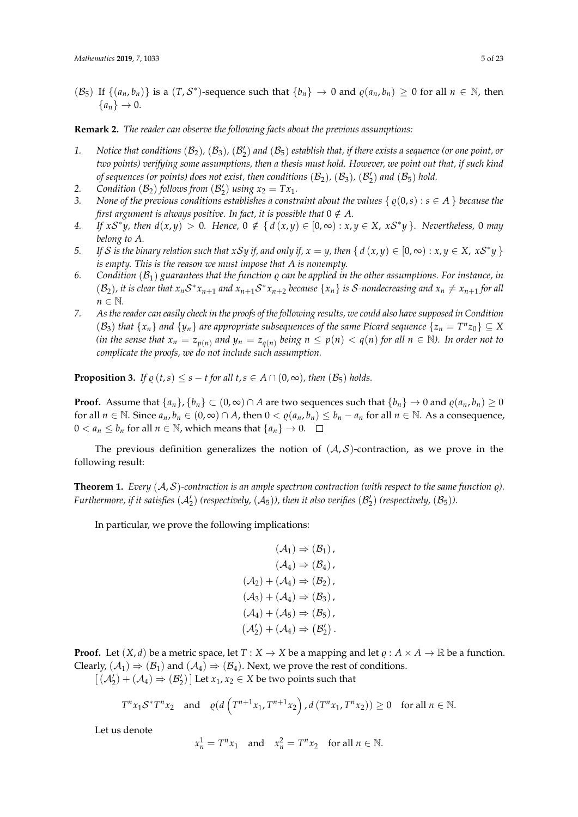$(\mathcal{B}_5)$  If  $\{(a_n, b_n)\}\$ is a  $(T, \mathcal{S}^*)$ -sequence such that  $\{b_n\} \to 0$  and  $\varrho(a_n, b_n) \ge 0$  for all  $n \in \mathbb{N}$ , then  ${a_n} \rightarrow 0.$ 

#### **Remark 2.** *The reader can observe the following facts about the previous assumptions:*

- 1. Notice that conditions  $(B_2)$ ,  $(B_3)$ ,  $(B'_2)$  and  $(B_5)$  establish that, if there exists a sequence (or one point, or *two points) verifying some assumptions, then a thesis must hold. However, we point out that, if such kind of sequences (or points) does not exist, then conditions*  $(\mathcal{B}_2)$ *,*  $(\mathcal{B}_3)$ *,*  $(\mathcal{B}'_2)$  *and*  $(\mathcal{B}_5)$  *hold.*
- 2. *Condition*  $(B_2)$  *follows from*  $(B'_2)$  *using*  $x_2 = Tx_1$ *.*
- *3. None of the previous conditions establishes a constraint about the values*  $\{ \rho(0,s) : s \in A \}$  *because the first argument is always positive. In fact, it is possible that*  $0 \notin A$ .
- 4. If  $xS^*y$ , then  $d(x,y) > 0$ . Hence,  $0 \notin \{d(x,y) \in [0,\infty) : x,y \in X, xS^*y\}$ . Nevertheless, 0 may *belong to A.*
- 5. If S is the binary relation such that xSy if, and only if,  $x = y$ , then  $\{ d(x,y) \in [0,\infty) : x, y \in X, xS^*y \}$ *is empty. This is the reason we must impose that A is nonempty.*
- 6. *Condition*  $(B_1)$  *guarantees that the function*  $\varrho$  *can be applied in the other assumptions. For instance, in*  $(\mathcal{B}_2)$ , it is clear that  $x_nS^*x_{n+1}$  and  $x_{n+1}S^*x_{n+2}$  because  $\{x_n\}$  is S-nondecreasing and  $x_n \neq x_{n+1}$  for all *n* ∈ *N*.
- *7. As the reader can easily check in the proofs of the following results, we could also have supposed in Condition*  $(S_3)$  *that*  $\{x_n\}$  *and*  $\{y_n\}$  *are appropriate subsequences of the same Picard sequence*  $\{z_n = T^n z_0\} \subseteq X$ (in the sense that  $x_n = z_{p(n)}$  and  $y_n = z_{q(n)}$  being  $n \leq p(n) < q(n)$  for all  $n \in \mathbb{N}$ ). In order not to *complicate the proofs, we do not include such assumption.*

<span id="page-4-1"></span>**Proposition 3.** *If*  $\varrho$  (*t*,*s*)  $\leq$  *s* − *t* for all *t*,*s*  $\in$  *A*  $\cap$  (0, ∞), *then* ( $\mathcal{B}_5$ ) *holds.* 

**Proof.** Assume that  $\{a_n\}$ ,  $\{b_n\} \subset (0,\infty) \cap A$  are two sequences such that  $\{b_n\} \to 0$  and  $\varrho(a_n,b_n) \ge 0$ for all  $n \in \mathbb{N}$ . Since  $a_n, b_n \in (0, \infty) \cap A$ , then  $0 < \varrho(a_n, b_n) \le b_n - a_n$  for all  $n \in \mathbb{N}$ . As a consequence, 0 <  $a_n$  ≤  $b_n$  for all  $n \in \mathbb{N}$ , which means that  $\{a_n\} \to 0$ . □

The previous definition generalizes the notion of  $(\mathcal{A}, \mathcal{S})$ -contraction, as we prove in the following result:

<span id="page-4-0"></span>**Theorem 1.** *Every*  $(A, S)$ *-contraction is an ample spectrum contraction (with respect to the same function*  $\varphi$ *). Furthermore, if it satisfies*  $(A'_2)$  (respectively,  $(A_5)$ ), then it also verifies  $(B'_2)$  (respectively,  $(B_5)$ ).

In particular, we prove the following implications:

$$
(\mathcal{A}_1) \Rightarrow (\mathcal{B}_1),
$$
  
\n
$$
(\mathcal{A}_4) \Rightarrow (\mathcal{B}_4),
$$
  
\n
$$
(\mathcal{A}_2) + (\mathcal{A}_4) \Rightarrow (\mathcal{B}_2),
$$
  
\n
$$
(\mathcal{A}_3) + (\mathcal{A}_4) \Rightarrow (\mathcal{B}_3),
$$
  
\n
$$
(\mathcal{A}_4) + (\mathcal{A}_5) \Rightarrow (\mathcal{B}_5),
$$
  
\n
$$
(\mathcal{A}'_2) + (\mathcal{A}_4) \Rightarrow (\mathcal{B}'_2).
$$

**Proof.** Let  $(X, d)$  be a metric space, let  $T : X \to X$  be a mapping and let  $\rho : A \times A \to \mathbb{R}$  be a function. Clearly,  $(A_1) \Rightarrow (B_1)$  and  $(A_4) \Rightarrow (B_4)$ . Next, we prove the rest of conditions.

 $[(\mathcal{A}'_2) + (\mathcal{A}_4) \Rightarrow (\mathcal{B}'_2)]$  Let  $x_1, x_2 \in X$  be two points such that

$$
T^{n}x_{1}S^{*}T^{n}x_{2} \text{ and } \varrho(d\left(T^{n+1}x_{1}, T^{n+1}x_{2}\right), d\left(T^{n}x_{1}, T^{n}x_{2}\right)) \geq 0 \text{ for all } n \in \mathbb{N}.
$$

Let us denote

$$
x_n^1 = T^n x_1 \quad \text{and} \quad x_n^2 = T^n x_2 \quad \text{for all } n \in \mathbb{N}.
$$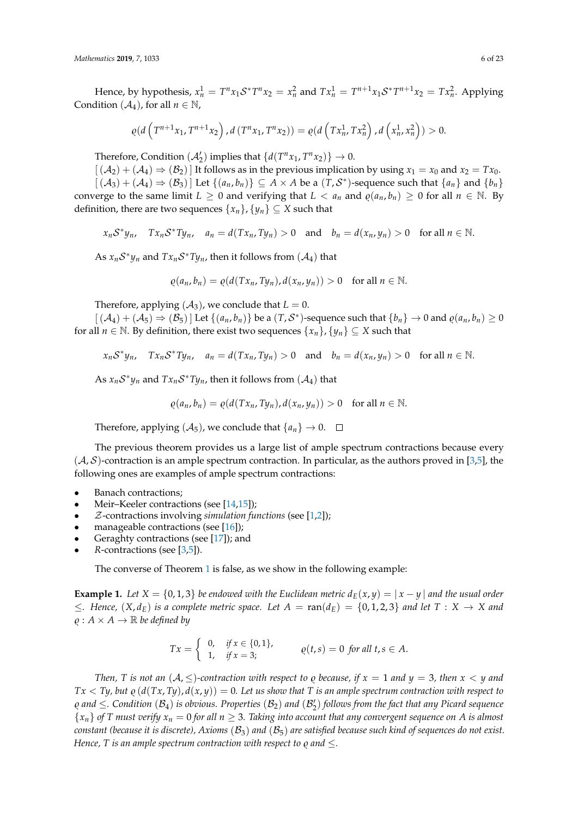Hence, by hypothesis,  $x_n^1 = T^n x_1 S^* T^n x_2 = x_n^2$  and  $T x_n^1 = T^{n+1} x_1 S^* T^{n+1} x_2 = T x_n^2$ . Applying Condition  $(A_4)$ , for all  $n \in \mathbb{N}$ ,

$$
\varrho(d\left(T^{n+1}x_1, T^{n+1}x_2\right), d(T^{n}x_1, T^{n}x_2)) = \varrho(d\left(Tx_n^1, Tx_n^2\right), d\left(x_n^1, x_n^2\right)) > 0.
$$

Therefore, Condition  $(A'_2)$  implies that  $\{d(T^n x_1, T^n x_2)\}\rightarrow 0$ .

 $[(A_2) + (A_4) \Rightarrow (B_2)]$  It follows as in the previous implication by using  $x_1 = x_0$  and  $x_2 = Tx_0$ .  $[(\mathcal{A}_3) + (\mathcal{A}_4) \Rightarrow (\mathcal{B}_3)]$  Let  $\{(a_n, b_n)\}\subseteq A \times A$  be a  $(T, \mathcal{S}^*)$ -sequence such that  $\{a_n\}$  and  $\{b_n\}$ converge to the same limit  $L \ge 0$  and verifying that  $L < a_n$  and  $\varrho(a_n, b_n) \ge 0$  for all  $n \in \mathbb{N}$ . By definition, there are two sequences  $\{x_n\}$ ,  $\{y_n\} \subseteq X$  such that

 $x_n S^* y_n$ ,  $Tx_n S^* Ty_n$ ,  $a_n = d(Tx_n, Ty_n) > 0$  and  $b_n = d(x_n, y_n) > 0$  for all  $n \in \mathbb{N}$ .

As  $x_n S^* y_n$  and  $Tx_n S^* Ty_n$ , then it follows from  $(A_4)$  that

$$
\varrho(a_n, b_n) = \varrho(d(Tx_n, Ty_n), d(x_n, y_n)) > 0 \text{ for all } n \in \mathbb{N}.
$$

Therefore, applying  $(A_3)$ , we conclude that  $L = 0$ .

 $[(\mathcal{A}_4) + (\mathcal{A}_5) \Rightarrow (\mathcal{B}_5)]$  Let  $\{(a_n, b_n)\}\$ be a  $(T, \mathcal{S}^*)$ -sequence such that  $\{b_n\} \to 0$  and  $\varrho(a_n, b_n) \ge 0$ for all *n*  $\in$  N. By definition, there exist two sequences  $\{x_n\}$ ,  $\{y_n\} \subseteq X$  such that

$$
x_nS^*y_n
$$
,  $Tx_nS^*Ty_n$ ,  $a_n = d(Tx_n, Ty_n) > 0$  and  $b_n = d(x_n, y_n) > 0$  for all  $n \in \mathbb{N}$ .

As  $x_nS^*y_n$  and  $Tx_nS^*Ty_n$ , then it follows from  $(A_4)$  that

$$
\varrho(a_n,b_n)=\varrho(d(Tx_n,Ty_n),d(x_n,y_n))>0\quad\text{for all }n\in\mathbb{N}.
$$

Therefore, applying  $(A_5)$ , we conclude that  $\{a_n\} \to 0$ .  $\Box$ 

The previous theorem provides us a large list of ample spectrum contractions because every  $(A, S)$ -contraction is an ample spectrum contraction. In particular, as the authors proved in [\[3,](#page-21-2)[5\]](#page-22-1), the following ones are examples of ample spectrum contractions:

- Banach contractions;
- Meir-Keeler contractions (see [\[14,](#page-22-9)[15\]](#page-22-10));
- Z-contractions involving *simulation functions* (see [\[1,](#page-21-0)[2\]](#page-21-1));
- manageable contractions (see  $[16]$ );
- Geraghty contractions (see [\[17\]](#page-22-12)); and
- *R*-contractions (see [\[3,](#page-21-2)[5\]](#page-22-1)).

The converse of Theorem [1](#page-4-0) is false, as we show in the following example:

**Example 1.** *Let*  $X = \{0, 1, 3\}$  *be endowed with the Euclidean metric*  $d_E(x, y) = |x - y|$  *and the usual order* ≤*. Hence,* (*X*, *dE*) *is a complete metric space. Let A* = ran(*dE*) = {0, 1, 2, 3} *and let T* : *X* → *X and*  $\rho: A \times A \rightarrow \mathbb{R}$  *be defined by* 

$$
Tx = \begin{cases} 0, & \text{if } x \in \{0,1\}, \\ 1, & \text{if } x = 3; \end{cases} \qquad \varrho(t,s) = 0 \text{ for all } t, s \in A.
$$

*Then, T* is not an  $(A, \leq)$ -contraction with respect to  $\varrho$  because, if  $x = 1$  and  $y = 3$ , then  $x \leq y$  and  $Tx < Ty$ , but  $\rho(d(Tx, Ty), d(x, y)) = 0$ . Let us show that T is an ample spectrum contraction with respect to  $\varrho$  and  $\leq$ . Condition  $(\mathcal{B}_4)$  is obvious. Properties  $(\mathcal{B}_2)$  and  $(\mathcal{B}'_2)$  follows from the fact that any Picard sequence  ${x_n}$  *of T must verify*  ${x_n} = 0$  *for all*  $n \geq 3$ *. Taking into account that any convergent sequence on A is almost constant (because it is discrete), Axioms* (B3) *and* (B5) *are satisfied because such kind of sequences do not exist. Hence, T is an ample spectrum contraction with respect to*  $\rho$  *and*  $\leq$ *.*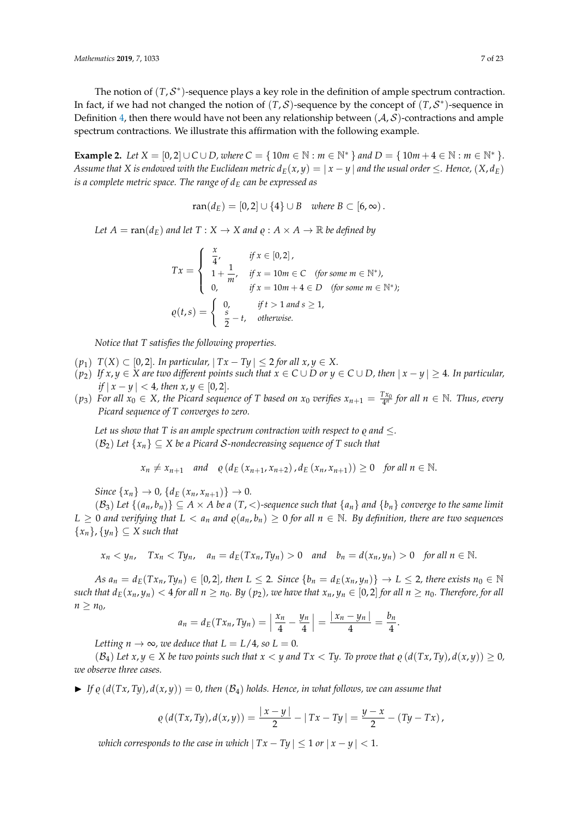The notion of  $(T, S^*)$ -sequence plays a key role in the definition of ample spectrum contraction. In fact, if we had not changed the notion of  $(T, S)$ -sequence by the concept of  $(T, S^*)$ -sequence in Definition [4,](#page-3-0) then there would have not been any relationship between  $(A, S)$ -contractions and ample spectrum contractions. We illustrate this affirmation with the following example.

<span id="page-6-0"></span>**Example 2.** *Let*  $X = [0, 2] \cup C \cup D$ , where  $C = \{ 10m \in \mathbb{N} : m \in \mathbb{N}^* \}$  and  $D = \{ 10m + 4 \in \mathbb{N} : m \in \mathbb{N}^* \}.$ *Assume that X is endowed with the Euclidean metric*  $d_E(x, y) = |x - y|$  *and the usual order*  $\leq$ *. Hence,*  $(X, d_E)$ *is a complete metric space. The range of d<sup>E</sup> can be expressed as*

$$
ran(d_E) = [0,2] \cup \{4\} \cup B \quad where B \subset [6,\infty).
$$

*Let*  $A = \text{ran}(d_E)$  *and let*  $T : X \to X$  *and*  $\varrho : A \times A \to \mathbb{R}$  *be defined by* 

$$
Tx = \begin{cases} \frac{x}{4}, & \text{if } x \in [0,2], \\ 1 + \frac{1}{m}, & \text{if } x = 10m \in \text{C} \quad \text{(for some } m \in \mathbb{N}^*), \\ 0, & \text{if } x = 10m + 4 \in D \quad \text{(for some } m \in \mathbb{N}^* \text{)}; \\ \varrho(t,s) = \begin{cases} 0, & \text{if } t > 1 \text{ and } s \ge 1, \\ \frac{s}{2} - t, & \text{otherwise.} \end{cases} \end{cases}
$$

*Notice that T satisfies the following properties.*

- (*p*<sub>1</sub>) *T*(*X*) ⊂ [0, 2]*.* In particular,  $|Tx Ty|$  ≤ 2 for all  $x, y \in X$ .
- $(p_2)$  *If*  $x, y \in X$  are two different points such that  $x \in C \cup D$  or  $y \in C \cup D$ , then  $|x y| \geq 4$ *. In particular, if*  $|x - y|$  < 4*, then x*, *y* ∈ [0, 2].
- $p_3$  *For all*  $x_0 \in X$ *, the Picard sequence of T based on*  $x_0$  *verifies*  $x_{n+1} = \frac{Tx_0}{4^n}$  *for all*  $n \in \mathbb{N}$ *. Thus, every Picard sequence of T converges to zero.*

*Let us show that T is an ample spectrum contraction with respect to*  $\rho$  *and*  $\lt$ *.*  $(\mathcal{B}_2)$  *Let*  $\{x_n\} \subset X$  *be a Picard S-nondecreasing sequence of T such that* 

 $x_n \neq x_{n+1}$  *and*  $\rho$  (*d*<sub>*E*</sub> (*x*<sub>*n*+1</sub>, *x*<sub>*n*+2</sub>), *d*<sub>*E*</sub> (*x*<sub>*n*</sub>, *x*<sub>*n*+1</sub>)) ≥ 0 *for all n* ∈ N.

*Since*  $\{x_n\} \to 0$ ,  $\{d_E(x_n, x_{n+1})\} \to 0$ .

 $(\mathcal{B}_3)$  *Let*  $\{(a_n, b_n)\}\subseteq A \times A$  *be a*  $(T, <)$ -sequence such that  $\{a_n\}$  *and*  $\{b_n\}$  *converge to the same limit L* ≥ 0 *and verifying that L* <  $a_n$  *and*  $\varrho(a_n, b_n)$  ≥ 0 *for all*  $n \in \mathbb{N}$ *. By definition, there are two sequences*  ${x_n}, {y_n} \subseteq X$  *such that* 

$$
x_n < y_n
$$
,  $Tx_n < Ty_n$ ,  $a_n = d_E(Tx_n, Ty_n) > 0$  and  $b_n = d(x_n, y_n) > 0$  for all  $n \in \mathbb{N}$ .

As  $a_n = d_E(Tx_n, Ty_n) \in [0,2]$ , then  $L \leq 2$ . Since  $\{b_n = d_E(x_n, y_n)\} \to L \leq 2$ , there exists  $n_0 \in \mathbb{N}$ such that  $d_E(x_n, y_n) < 4$  for all  $n \ge n_0$ . By  $(p_2)$ , we have that  $x_n, y_n \in [0,2]$  for all  $n \ge n_0$ . Therefore, for all  $n \geq n_0$ 

$$
a_n = d_E(Tx_n, Ty_n) = \left| \frac{x_n}{4} - \frac{y_n}{4} \right| = \frac{|x_n - y_n|}{4} = \frac{b_n}{4}.
$$

*Letting*  $n \to \infty$ *, we deduce that*  $L = L/4$ *, so*  $L = 0$ *.* 

 $(B_4)$  Let  $x, y \in X$  be two points such that  $x < y$  and  $Tx < Ty$ . To prove that  $\rho(d(Tx, Ty), d(x, y)) \ge 0$ , *we observe three cases.*

 $\blacktriangleright$  If  $\rho$  ( $d(Tx, Ty)$ ,  $d(x, y)$ ) = 0, then ( $B_4$ ) holds. Hence, in what follows, we can assume that

$$
\varrho\left(d(Tx,Ty),d(x,y)\right) = \frac{|x-y|}{2} - |Tx-Ty| = \frac{y-x}{2} - (Ty-Tx),
$$

*which corresponds to the case in which*  $|Tx - Ty| \leq 1$  *or*  $|x - y| < 1$ *.*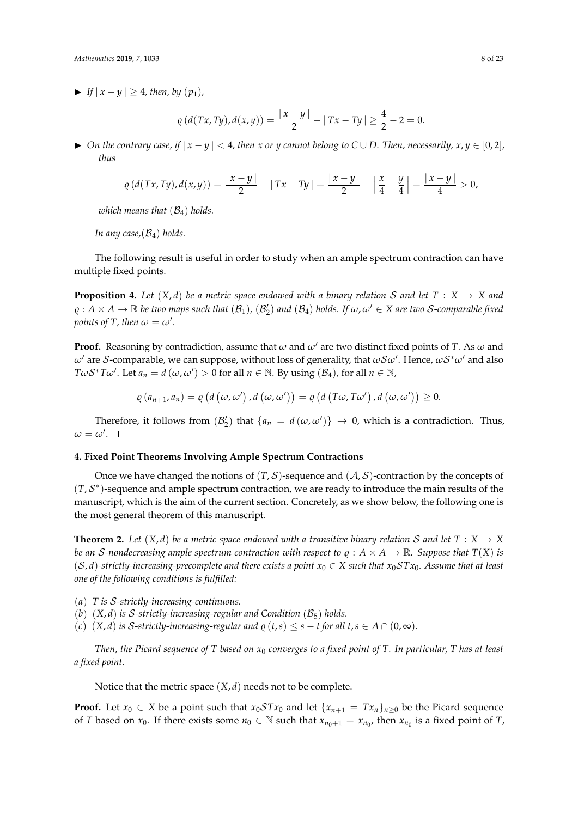$\blacktriangleright$  *If*  $|x - y| \geq 4$ *, then, by*  $(p_1)$ *,* 

$$
\varrho\left(d(Tx,Ty),d(x,y)\right)=\frac{|x-y|}{2}-|Tx-Ty|\geq \frac{4}{2}-2=0.
$$

 $\triangleright$  *On the contrary case, if*  $|x - y| < 4$ *, then x* or *y cannot belong to*  $C ∪ D$ *. Then, necessarily, x, y* ∈ [0, 2]*, thus*

$$
\varrho(d(Tx, Ty), d(x, y)) = \frac{|x - y|}{2} - |Tx - Ty| = \frac{|x - y|}{2} - \left| \frac{x}{4} - \frac{y}{4} \right| = \frac{|x - y|}{4} > 0,
$$

*which means that* (B4) *holds.*

*In any case,*(B4) *holds.*

The following result is useful in order to study when an ample spectrum contraction can have multiple fixed points.

**Proposition 4.** Let  $(X, d)$  be a metric space endowed with a binary relation S and let  $T : X \rightarrow X$  and  $\varrho : A \times A \to \mathbb{R}$  *be two maps such that*  $(\mathcal{B}_1)$ ,  $(\mathcal{B}'_2)$  *and*  $(\mathcal{B}_4)$  *holds. If*  $\omega, \omega' \in X$  *are two S-comparable fixed points of T, then*  $\omega = \omega'$ .

**Proof.** Reasoning by contradiction, assume that  $\omega$  and  $\omega'$  are two distinct fixed points of *T*. As  $\omega$  and  $\omega'$  are S-comparable, we can suppose, without loss of generality, that  $\omega\mathcal{S}\omega'$ . Hence,  $\omega\mathcal{S}^*\omega'$  and also *TωS*<sup>\*</sup>*Tω*<sup> $\prime$ </sup>. Let *a*<sub>*n*</sub> = *d* (*ω*, *ω*<sup> $\prime$ </sup>) > 0 for all *n* ∈ N. By using (B<sub>4</sub>), for all *n* ∈ N,

$$
\varrho(a_{n+1},a_n)=\varrho(d(\omega,\omega'),d(\omega,\omega'))=\varrho(d(T\omega,T\omega'),d(\omega,\omega'))\geq 0.
$$

Therefore, it follows from  $(\mathcal{B}'_2)$  that  $\{a_n = d(\omega, \omega')\} \to 0$ , which is a contradiction. Thus,  $\omega = \omega'.$ 

#### **4. Fixed Point Theorems Involving Ample Spectrum Contractions**

Once we have changed the notions of  $(T, \mathcal{S})$ -sequence and  $(\mathcal{A}, \mathcal{S})$ -contraction by the concepts of  $(T, \mathcal{S}^*)$ -sequence and ample spectrum contraction, we are ready to introduce the main results of the manuscript, which is the aim of the current section. Concretely, as we show below, the following one is the most general theorem of this manuscript.

<span id="page-7-0"></span>**Theorem 2.** Let  $(X, d)$  be a metric space endowed with a transitive binary relation S and let  $T : X \to X$ *be an S*-nondecreasing ample spectrum contraction with respect to  $\rho : A \times A \rightarrow \mathbb{R}$ . Suppose that  $T(X)$  *is*  $(S, d)$ -strictly-increasing-precomplete and there exists a point  $x_0 \in X$  such that  $x_0 STx_0$ . Assume that at least *one of the following conditions is fulfilled:*

- (*a*) *T is* S*-strictly-increasing-continuous.*
- (*b*)  $(X, d)$  *is* S-strictly-increasing-regular and Condition  $(B_5)$  holds.
- (*c*)  $(X, d)$  *is* S-strictly-increasing-regular and  $\varrho(t, s) \leq s t$  for all  $t, s \in A \cap (0, \infty)$ .

*Then, the Picard sequence of T based on x*<sup>0</sup> *converges to a fixed point of T. In particular, T has at least a fixed point.*

Notice that the metric space (*X*, *d*) needs not to be complete.

**Proof.** Let  $x_0 \in X$  be a point such that  $x_0 \mathcal{S} T x_0$  and let  $\{x_{n+1} = Tx_n\}_{n>0}$  be the Picard sequence of *T* based on  $x_0$ . If there exists some  $n_0 \in \mathbb{N}$  such that  $x_{n_0+1} = x_{n_0}$ , then  $x_{n_0}$  is a fixed point of *T*,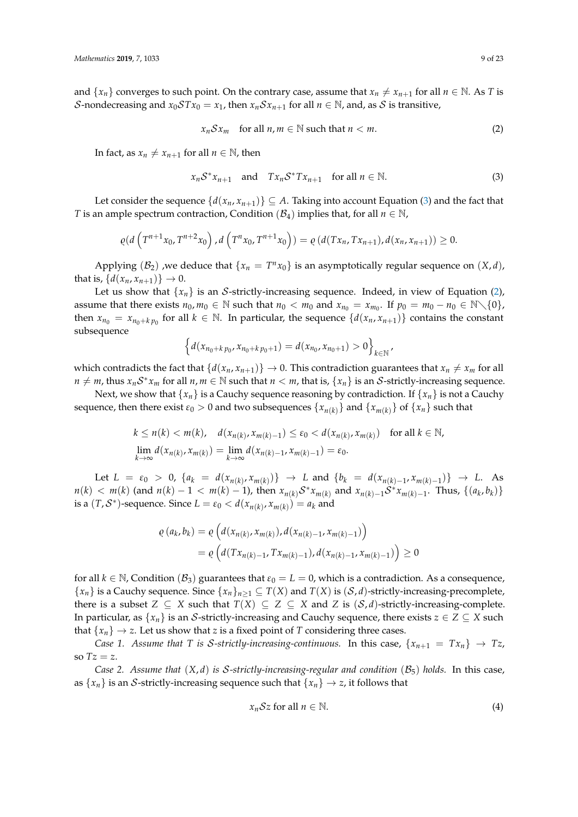and  $\{x_n\}$  converges to such point. On the contrary case, assume that  $x_n \neq x_{n+1}$  for all  $n \in \mathbb{N}$ . As *T* is S-nondecreasing and  $x_0STx_0 = x_1$ , then  $x_nSx_{n+1}$  for all  $n \in \mathbb{N}$ , and, as S is transitive,

<span id="page-8-1"></span>
$$
x_n S x_m \quad \text{for all } n, m \in \mathbb{N} \text{ such that } n < m. \tag{2}
$$

In fact, as  $x_n \neq x_{n+1}$  for all  $n \in \mathbb{N}$ , then

<span id="page-8-0"></span>
$$
x_n S^* x_{n+1} \quad \text{and} \quad Tx_n S^* Tx_{n+1} \quad \text{for all } n \in \mathbb{N}.
$$
 (3)

Let consider the sequence  $\{d(x_n, x_{n+1})\} \subseteq A$ . Taking into account Equation [\(3\)](#page-8-0) and the fact that *T* is an ample spectrum contraction, Condition ( $\mathcal{B}_4$ ) implies that, for all  $n \in \mathbb{N}$ ,

$$
\varrho(d\left(T^{n+1}x_0,T^{n+2}x_0\right),d\left(T^n x_0,T^{n+1}x_0\right))=\varrho\left(d(Tx_n,Tx_{n+1}),d(x_n,x_{n+1})\right)\geq 0.
$$

Applying  $(\mathcal{B}_2)$  , we deduce that  $\{x_n = T^n x_0\}$  is an asymptotically regular sequence on  $(X, d)$ , that is,  $\{d(x_n, x_{n+1})\} \to 0$ .

Let us show that  $\{x_n\}$  is an S-strictly-increasing sequence. Indeed, in view of Equation [\(2\)](#page-8-1), assume that there exists  $n_0$ ,  $m_0 \in \mathbb{N}$  such that  $n_0 < m_0$  and  $x_{n_0} = x_{m_0}$ . If  $p_0 = m_0 - n_0 \in \mathbb{N} \setminus \{0\}$ , then  $x_{n_0} = x_{n_0+k p_0}$  for all  $k \in \mathbb{N}$ . In particular, the sequence  $\{d(x_n, x_{n+1})\}$  contains the constant subsequence

$$
\left\{d(x_{n_0+k\,p_0},x_{n_0+k\,p_0+1})=d(x_{n_0},x_{n_0+1})>0\right\}_{k\in\mathbb{N}},
$$

which contradicts the fact that  $\{d(x_n, x_{n+1})\} \to 0$ . This contradiction guarantees that  $x_n \neq x_m$  for all  $n \neq m$ , thus  $x_n S^* x_m$  for all  $n, m \in \mathbb{N}$  such that  $n < m$ , that is,  $\{x_n\}$  is an S-strictly-increasing sequence.

Next, we show that  $\{x_n\}$  is a Cauchy sequence reasoning by contradiction. If  $\{x_n\}$  is not a Cauchy sequence, then there exist  $\varepsilon_0 > 0$  and two subsequences  $\{x_{n(k)}\}$  and  $\{x_{m(k)}\}$  of  $\{x_n\}$  such that

$$
k \le n(k) < m(k), \quad d(x_{n(k)}, x_{m(k)-1}) \le \varepsilon_0 < d(x_{n(k)}, x_{m(k)}) \quad \text{for all } k \in \mathbb{N},
$$
\n
$$
\lim_{k \to \infty} d(x_{n(k)}, x_{m(k)}) = \lim_{k \to \infty} d(x_{n(k)-1}, x_{m(k)-1}) = \varepsilon_0.
$$

Let  $L = \varepsilon_0 > 0$ ,  $\{a_k = d(x_{n(k)}, x_{m(k)})\} \rightarrow L$  and  $\{b_k = d(x_{n(k)-1}, x_{m(k)-1})\} \rightarrow L$ . As  $n(k) < m(k)$  (and  $n(k) - 1 < m(k) - 1$ ), then  $x_{n(k)} S^* x_{m(k)}$  and  $x_{n(k)-1} S^* x_{m(k)-1}$ . Thus,  $\{(a_k, b_k)\}$ is a  $(T, \mathcal{S}^*)$ -sequence. Since  $L = \varepsilon_0 < d(x_{n(k)}, x_{m(k)}) = a_k$  and

$$
\varrho(a_k, b_k) = \varrho\left(d(x_{n(k)}, x_{m(k)}), d(x_{n(k)-1}, x_{m(k)-1})\right)
$$
  
= 
$$
\varrho\left(d(Tx_{n(k)-1}, Tx_{m(k)-1}), d(x_{n(k)-1}, x_{m(k)-1})\right) \ge 0
$$

for all  $k \in \mathbb{N}$ , Condition ( $\mathcal{B}_3$ ) guarantees that  $\varepsilon_0 = L = 0$ , which is a contradiction. As a consequence,  ${x_n}$  is a Cauchy sequence. Since  ${x_n}_{n \geq 1} \subseteq T(X)$  and  $T(X)$  is  $(S, d)$ -strictly-increasing-precomplete, there is a subset  $Z \subseteq X$  such that  $T(X) \subseteq Z \subseteq X$  and  $Z$  is  $(S, d)$ -strictly-increasing-complete. In particular, as  $\{x_n\}$  is an S-strictly-increasing and Cauchy sequence, there exists  $z \in Z \subseteq X$  such that  $\{x_n\} \rightarrow z$ . Let us show that *z* is a fixed point of *T* considering three cases.

*Case 1. Assume that T is* S-strictly-increasing-continuous. In this case,  $\{x_{n+1} = Tx_n\} \rightarrow Tz$ , so  $Tz = z$ .

*Case 2. Assume that* (*X*, *d*) *is* S*-strictly-increasing-regular and condition* (B5) *holds.* In this case, as  $\{x_n\}$  is an *S*-strictly-increasing sequence such that  $\{x_n\} \rightarrow z$ , it follows that

<span id="page-8-2"></span>
$$
x_n \mathcal{S} z \text{ for all } n \in \mathbb{N}.\tag{4}
$$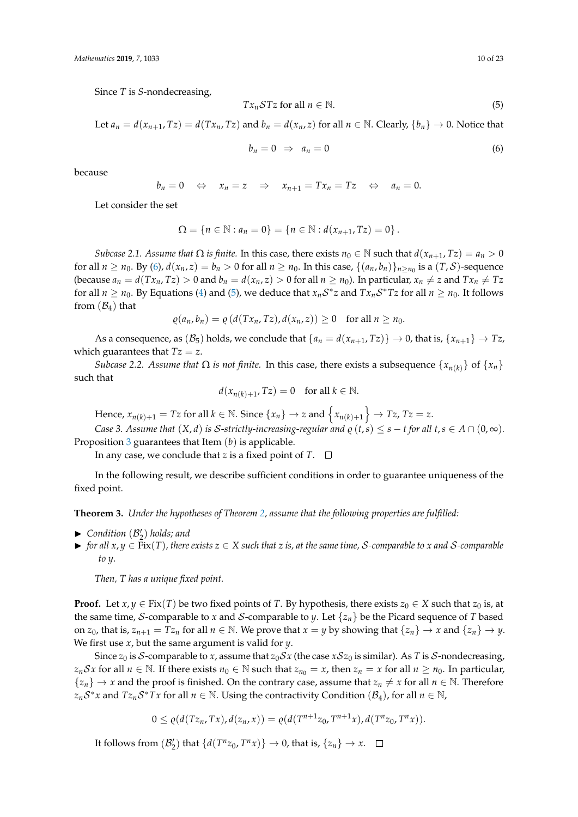Since *T* is *S*-nondecreasing,

<span id="page-9-1"></span>
$$
Tx_nSTz \text{ for all } n \in \mathbb{N}.\tag{5}
$$

Let 
$$
a_n = d(x_{n+1}, Tz) = d(Tx_n, Tz)
$$
 and  $b_n = d(x_n, z)$  for all  $n \in \mathbb{N}$ . Clearly,  $\{b_n\} \to 0$ . Notice that

<span id="page-9-0"></span>
$$
b_n = 0 \Rightarrow a_n = 0 \tag{6}
$$

because

$$
b_n = 0 \Leftrightarrow x_n = z \Rightarrow x_{n+1} = Tx_n = Tz \Leftrightarrow a_n = 0.
$$

Let consider the set

$$
\Omega = \{ n \in \mathbb{N} : a_n = 0 \} = \{ n \in \mathbb{N} : d(x_{n+1}, Tz) = 0 \}.
$$

*Subcase 2.1. Assume that*  $\Omega$  *is finite.* In this case, there exists  $n_0 \in \mathbb{N}$  such that  $d(x_{n+1}, Tz) = a_n > 0$ for all  $n \ge n_0$ . By [\(6\)](#page-9-0),  $d(x_n, z) = b_n > 0$  for all  $n \ge n_0$ . In this case,  $\{(a_n, b_n)\}_{n \ge n_0}$  is a  $(T, S)$ -sequence (because  $a_n = d(Tx_n, Tz) > 0$  and  $b_n = d(x_n, z) > 0$  for all  $n \ge n_0$ ). In particular,  $x_n \ne z$  and  $Tx_n \ne Tz$ for all  $n \ge n_0$ . By Equations [\(4\)](#page-8-2) and [\(5\)](#page-9-1), we deduce that  $x_n S^* z$  and  $Tx_n S^* T z$  for all  $n \ge n_0$ . It follows from  $(\mathcal{B}_4)$  that

$$
\varrho(a_n,b_n)=\varrho(d(Tx_n,Tz),d(x_n,z))\geq 0 \text{ for all } n\geq n_0.
$$

As a consequence, as  $(\mathcal{B}_5)$  holds, we conclude that  $\{a_n = d(x_{n+1}, Tz)\} \to 0$ , that is,  $\{x_{n+1}\} \to Tz$ , which guarantees that  $Tz = z$ .

*Subcase 2.2. Assume that*  $\Omega$  *is not finite.* In this case, there exists a subsequence  $\{x_{n(k)}\}$  of  $\{x_n\}$ such that

$$
d(x_{n(k)+1}, Tz) = 0 \quad \text{for all } k \in \mathbb{N}.
$$

 $Hence, x_{n(k)+1} = Tz \text{ for all } k \in \mathbb{N}. \text{ Since } \{x_n\} \to z \text{ and } \left\{x_{n(k)+1}\right\} \to Tz, Tz = z.$ *Case 3. Assume that*  $(X, d)$  *is S-strictly-increasing-regular and*  $\varrho(t, s) \leq s - t$  *for all*  $t, s \in A \cap (0, \infty)$ *.* 

Proposition [3](#page-4-1) guarantees that Item (*b*) is applicable.

In any case, we conclude that *z* is a fixed point of  $T$ .  $\Box$ 

In the following result, we describe sufficient conditions in order to guarantee uniqueness of the fixed point.

<span id="page-9-2"></span>**Theorem 3.** *Under the hypotheses of Theorem [2,](#page-7-0) assume that the following properties are fulfilled:*

- $\blacktriangleright$  *Condition*  $(\mathcal{B}'_2)$  *holds; and*
- $▶$  *for all*  $x, y \in Fix(T)$ *, there exists*  $z \in X$  *such that*  $z$  *is, at the same time, S-comparable to*  $x$  *and*  $S$ -comparable *to y.*

*Then, T has a unique fixed point.*

**Proof.** Let *x*, *y* ∈ Fix(*T*) be two fixed points of *T*. By hypothesis, there exists  $z_0 \in X$  such that  $z_0$  is, at the same time, S-comparable to *x* and S-comparable to *y*. Let  $\{z_n\}$  be the Picard sequence of *T* based on *z*<sub>0</sub>, that is,  $z_{n+1} = Tz_n$  for all  $n \in \mathbb{N}$ . We prove that  $x = y$  by showing that  $\{z_n\} \to x$  and  $\{z_n\} \to y$ . We first use *x*, but the same argument is valid for *y*.

Since  $z_0$  is S-comparable to *x*, assume that  $z_0Sx$  (the case  $xSz_0$  is similar). As *T* is S-nondecreasing, *z*<sub>*n</sub>Sx* for all *n* ∈ N. If there exists *n*<sup>0</sup> ∈ N such that *z*<sub>*n*<sup>0</sup> = *x*, then *z*<sub>*n*</sub> = *x* for all *n* ≥ *n*<sub>0</sub>. In particular,</sub></sub>  ${z_n} \rightarrow x$  and the proof is finished. On the contrary case, assume that  $z_n \neq x$  for all  $n \in \mathbb{N}$ . Therefore  $z_nS^*x$  and  $Tz_nS^*Tx$  for all  $n \in \mathbb{N}$ . Using the contractivity Condition  $(\mathcal{B}_4)$ , for all  $n \in \mathbb{N}$ ,

$$
0 \leq \varrho(d(Tz_n,Tx),d(z_n,x)) = \varrho(d(T^{n+1}z_0,T^{n+1}x),d(T^nz_0,T^nx)).
$$

It follows from  $(\mathcal{B}'_2)$  that  $\{d(T^n z_0, T^n x)\}\to 0$ , that is,  $\{z_n\}\to x$ .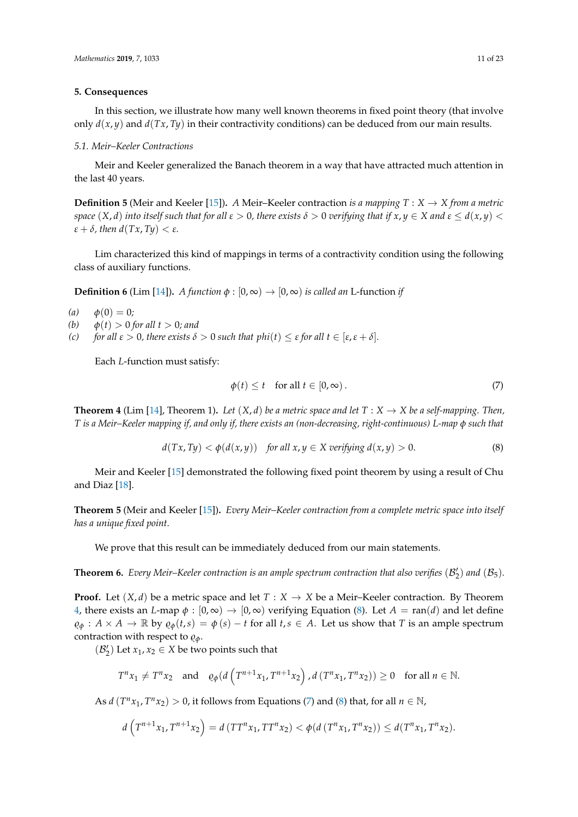## **5. Consequences**

In this section, we illustrate how many well known theorems in fixed point theory (that involve only  $d(x, y)$  and  $d(Tx, Ty)$  in their contractivity conditions) can be deduced from our main results.

## *5.1. Meir–Keeler Contractions*

Meir and Keeler generalized the Banach theorem in a way that have attracted much attention in the last 40 years.

**Definition 5** (Meir and Keeler [\[15\]](#page-22-10)). *A* Meir–Keeler contraction *is a mapping*  $T : X \rightarrow X$  *from a metric* space  $(X, d)$  into itself such that for all  $\varepsilon > 0$ , there exists  $\delta > 0$  verifying that if  $x, y \in X$  and  $\varepsilon \leq d(x, y)$ *ε* + *δ,* then  $d(Tx, Ty) < ε$ *.* 

Lim characterized this kind of mappings in terms of a contractivity condition using the following class of auxiliary functions.

<span id="page-10-3"></span>**Definition 6** (Lim [\[14\]](#page-22-9)). *A function*  $\phi$  : [0,  $\infty$ )  $\rightarrow$  [0,  $\infty$ ) *is called an* L-function *if* 

*(a)*  $φ(0) = 0;$ 

- *(b)*  $\phi(t) > 0$  *for all t*  $> 0$ *; and*
- *(c) for all*  $\varepsilon > 0$ *, there exists*  $\delta > 0$  *such that phi*(*t*)  $\leq \varepsilon$  *for all*  $t \in [\varepsilon, \varepsilon + \delta]$ *.*

Each *L*-function must satisfy:

<span id="page-10-2"></span>
$$
\phi(t) \le t \quad \text{for all } t \in [0, \infty). \tag{7}
$$

<span id="page-10-0"></span>**Theorem 4** (Lim [\[14\]](#page-22-9), Theorem 1). Let  $(X, d)$  be a metric space and let  $T : X \to X$  be a self-mapping. Then, *T is a Meir–Keeler mapping if, and only if, there exists an (non-decreasing, right-continuous) L-map φ such that*

<span id="page-10-1"></span>
$$
d(Tx, Ty) < \phi(d(x, y)) \quad \text{for all } x, y \in X \text{ verifying } d(x, y) > 0. \tag{8}
$$

Meir and Keeler [\[15\]](#page-22-10) demonstrated the following fixed point theorem by using a result of Chu and Diaz [\[18\]](#page-22-13).

<span id="page-10-4"></span>**Theorem 5** (Meir and Keeler [\[15\]](#page-22-10))**.** *Every Meir–Keeler contraction from a complete metric space into itself has a unique fixed point.*

We prove that this result can be immediately deduced from our main statements.

<span id="page-10-5"></span>**Theorem 6.** Every Meir–Keeler contraction is an ample spectrum contraction that also verifies  $(\mathcal{B}'_2)$  and  $(\mathcal{B}_5)$ .

**Proof.** Let  $(X, d)$  be a metric space and let  $T : X \to X$  be a Meir–Keeler contraction. By Theorem [4,](#page-10-0) there exists an *L*-map  $\phi$  :  $[0, \infty) \to [0, \infty)$  verifying Equation [\(8\)](#page-10-1). Let  $A = \text{ran}(d)$  and let define  $\rho_{\phi}: A \times A \to \mathbb{R}$  by  $\rho_{\phi}(t,s) = \phi(s) - t$  for all  $t,s \in A$ . Let us show that *T* is an ample spectrum contraction with respect to  $\rho_{\phi}$ .

 $(\mathcal{B}'_2)$  Let  $x_1, x_2 \in X$  be two points such that

$$
T^{n}x_{1} \neq T^{n}x_{2} \quad \text{and} \quad \varrho_{\phi}(d\left(T^{n+1}x_{1}, T^{n+1}x_{2}\right), d\left(T^{n}x_{1}, T^{n}x_{2}\right)) \geq 0 \quad \text{for all } n \in \mathbb{N}.
$$

As *d*  $(T^n x_1, T^n x_2) > 0$ , it follows from Equations [\(7\)](#page-10-2) and [\(8\)](#page-10-1) that, for all  $n \in \mathbb{N}$ ,

$$
d\left(T^{n+1}x_1, T^{n+1}x_2\right) = d\left(TT^n x_1, TT^n x_2\right) < \phi(d\left(T^n x_1, T^n x_2\right)) \le d(T^n x_1, T^n x_2).
$$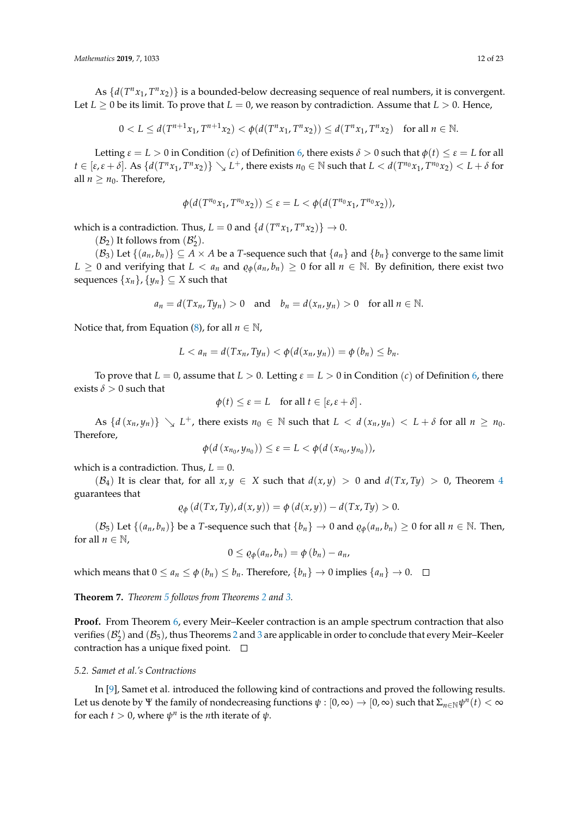As  $\{d(T^n x_1, T^n x_2)\}\$  is a bounded-below decreasing sequence of real numbers, it is convergent. Let  $L \geq 0$  be its limit. To prove that  $L = 0$ , we reason by contradiction. Assume that  $L > 0$ . Hence,

 $0 < L \le d(T^{n+1}x_1, T^{n+1}x_2) < \phi(d(T^n x_1, T^n x_2)) \le d(T^n x_1, T^n x_2)$  for all  $n \in \mathbb{N}$ .

Letting  $\varepsilon = L > 0$  in Condition (*c*) of Definition [6,](#page-10-3) there exists  $\delta > 0$  such that  $\phi(t) \leq \varepsilon = L$  for all  $t\in[\epsilon,\epsilon+\delta]$ . As  $\{d(T^n x_1, T^n x_2)\}\searrow L^+$ , there exists  $n_0\in\mathbb{N}$  such that  $L < d(T^{n_0} x_1, T^{n_0} x_2) < L+\delta$  for all  $n \geq n_0$ . Therefore,

$$
\phi(d(T^{n_0}x_1, T^{n_0}x_2)) \leq \varepsilon = L < \phi(d(T^{n_0}x_1, T^{n_0}x_2)),
$$

which is a contradiction. Thus,  $L = 0$  and  $\{d(T^n x_1, T^n x_2)\} \rightarrow 0$ .

 $(\mathcal{B}_2)$  It follows from  $(\mathcal{B}'_2).$ 

 $(\mathcal{B}_3)$  Let  $\{(a_n, b_n)\}\subseteq A\times A$  be a *T*-sequence such that  $\{a_n\}$  and  $\{b_n\}$  converge to the same limit *L* ≥ 0 and verifying that *L* < *a<sub>n</sub>* and  $\varrho_{\phi}(a_n, b_n)$  ≥ 0 for all *n* ∈ N. By definition, there exist two sequences  $\{x_n\}$ ,  $\{y_n\} \subseteq X$  such that

$$
a_n = d(Tx_n, Ty_n) > 0
$$
 and  $b_n = d(x_n, y_n) > 0$  for all  $n \in \mathbb{N}$ .

Notice that, from Equation [\(8\)](#page-10-1), for all  $n \in \mathbb{N}$ ,

$$
L < a_n = d(Tx_n, Ty_n) < \phi(d(x_n, y_n)) = \phi(b_n) \le b_n.
$$

To prove that  $L = 0$ , assume that  $L > 0$ . Letting  $\varepsilon = L > 0$  in Condition (*c*) of Definition [6,](#page-10-3) there exists  $\delta > 0$  such that

$$
\phi(t) \leq \varepsilon = L \quad \text{for all } t \in [\varepsilon, \varepsilon + \delta].
$$

As  $\{d(x_n, y_n)\}\searrow L^+$ , there exists  $n_0 \in \mathbb{N}$  such that  $L < d(x_n, y_n) < L + \delta$  for all  $n \ge n_0$ . Therefore,

$$
\phi(d(x_{n_0},y_{n_0}))\leq \varepsilon=L<\phi(d(x_{n_0},y_{n_0})),
$$

which is a contradiction. Thus,  $L = 0$ .

( $\mathcal{B}_4$  $\mathcal{B}_4$ ) It is clear that, for all  $x, y \in X$  such that  $d(x, y) > 0$  and  $d(Tx, Ty) > 0$ , Theorem 4 guarantees that

$$
\varrho_{\phi}\left(d(Tx,Ty),d(x,y)\right)=\phi\left(d(x,y)\right)-d(Tx,Ty)>0.
$$

 $(\mathcal{B}_5)$  Let  $\{(a_n, b_n)\}\$  be a *T*-sequence such that  $\{b_n\} \to 0$  and  $\varrho_{\phi}(a_n, b_n) \ge 0$  for all  $n \in \mathbb{N}$ . Then, for all  $n \in \mathbb{N}$ ,

$$
0\leq \varrho_{\phi}(a_n,b_n)=\phi(b_n)-a_n,
$$

which means that  $0 \le a_n \le \phi(b_n) \le b_n$ . Therefore,  $\{b_n\} \to 0$  implies  $\{a_n\} \to 0$ .  $\Box$ 

**Theorem 7.** *Theorem [5](#page-10-4) follows from Theorems [2](#page-7-0) and [3.](#page-9-2)*

**Proof.** From Theorem [6,](#page-10-5) every Meir–Keeler contraction is an ample spectrum contraction that also verifies  $(\mathcal{B}'_2)$  $(\mathcal{B}'_2)$  $(\mathcal{B}'_2)$  and  $(\mathcal{B}_5)$ , thus Theorems 2 and [3](#page-9-2) are applicable in order to conclude that every Meir–Keeler contraction has a unique fixed point.  $\Box$ 

#### *5.2. Samet et al.'s Contractions*

In [\[9\]](#page-22-5), Samet et al. introduced the following kind of contractions and proved the following results. Let us denote by  $\Psi$  the family of nondecreasing functions  $\psi: [0,\infty) \to [0,\infty)$  such that  $\Sigma_{n\in\mathbb{N}}\psi^n(t)<\infty$ for each  $t > 0$ , where  $\psi^n$  is the *n*th iterate of  $\psi$ .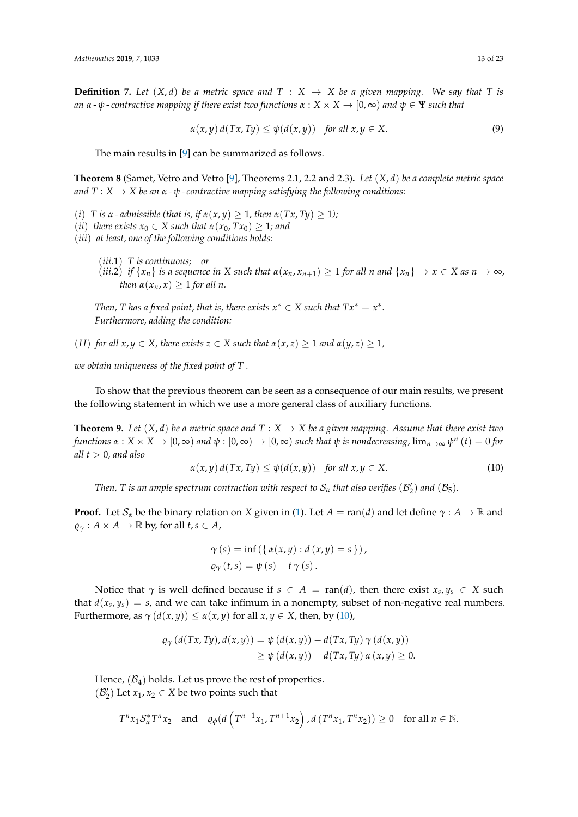<span id="page-12-1"></span>**Definition 7.** Let  $(X, d)$  be a metric space and  $T : X \rightarrow X$  be a given mapping. We say that T is *an*  $\alpha$  -  $\psi$  - contractive mapping if there exist two functions  $\alpha$  :  $X \times X \to [0, \infty)$  and  $\psi \in \Psi$  such that

$$
\alpha(x, y) d(Tx, Ty) \le \psi(d(x, y)) \quad \text{for all } x, y \in X. \tag{9}
$$

The main results in [\[9\]](#page-22-5) can be summarized as follows.

<span id="page-12-3"></span>**Theorem 8** (Samet, Vetro and Vetro [\[9\]](#page-22-5), Theorems 2.1, 2.2 and 2.3)**.** *Let* (*X*, *d*) *be a complete metric space and*  $T: X \rightarrow X$  *be an*  $\alpha$  *-*  $\psi$  *-* contractive mapping satisfying the following conditions:

- (*i*) *T* is  $\alpha$   *admissible (that is, if*  $\alpha(x, y) \geq 1$ *, then*  $\alpha(Tx, Ty) \geq 1$ *)*;
- (*ii*) *there exists*  $x_0 \in X$  *such that*  $\alpha(x_0, Tx_0) \geq 1$ *; and*
- (*iii*) *at least, one of the following conditions holds:*
	- (*iii*.1) *T is continuous; or*
	- (iii.2) if  $\{x_n\}$  is a sequence in X such that  $\alpha(x_n, x_{n+1}) \geq 1$  for all n and  $\{x_n\} \to x \in X$  as  $n \to \infty$ , *then*  $\alpha(x_n, x) \geq 1$  *for all n.*

*Then, T has a fixed point, that is, there exists*  $x^* \in X$  *such that*  $Tx^* = x^*$ *. Furthermore, adding the condition:*

(*H*) *for all*  $x, y \in X$ *, there exists*  $z \in X$  *such that*  $\alpha(x, z) \geq 1$  *and*  $\alpha(y, z) \geq 1$ *,* 

*we obtain uniqueness of the fixed point of T .*

To show that the previous theorem can be seen as a consequence of our main results, we present the following statement in which we use a more general class of auxiliary functions.

<span id="page-12-2"></span>**Theorem 9.** Let  $(X, d)$  be a metric space and  $T : X \to X$  be a given mapping. Assume that there exist two  $f$ unctions  $\alpha: X\times X\to [0,\infty)$  and  $\psi:[0,\infty)\to [0,\infty)$  such that  $\psi$  is nondecreasing,  $\lim_{n\to\infty}\psi^n$   $(t)=0$  for *all t* > 0*, and also*

<span id="page-12-0"></span>
$$
\alpha(x, y) d(Tx, Ty) \le \psi(d(x, y)) \quad \text{for all } x, y \in X. \tag{10}
$$

*Then, T is an ample spectrum contraction with respect to*  $\mathcal{S}_{\alpha}$  *that also verifies*  $(\mathcal{B}'_2)$  *and*  $(\mathcal{B}_5)$ *.* 

**Proof.** Let  $S_\alpha$  be the binary relation on *X* given in [\(1\)](#page-2-0). Let  $A = \text{ran}(d)$  and let define  $\gamma : A \to \mathbb{R}$  and  $\varrho_{\gamma}: A \times A \rightarrow \mathbb{R}$  by, for all  $t, s \in A$ ,

$$
\gamma(s) = \inf (\{ \alpha(x, y) : d(x, y) = s \} ),
$$
  
\n
$$
\varrho_{\gamma}(t, s) = \psi(s) - t \gamma(s) .
$$

Notice that  $\gamma$  is well defined because if  $s \in A = \text{ran}(d)$ , then there exist  $x_s, y_s \in X$  such that  $d(x_s, y_s) = s$ , and we can take infimum in a nonempty, subset of non-negative real numbers. Furthermore, as  $\gamma(d(x, y)) \leq \alpha(x, y)$  for all  $x, y \in X$ , then, by [\(10\)](#page-12-0),

$$
\varrho_{\gamma}(d(Tx, Ty), d(x,y)) = \psi(d(x,y)) - d(Tx, Ty) \gamma(d(x,y))
$$
  
 
$$
\geq \psi(d(x,y)) - d(Tx, Ty) \alpha(x,y) \geq 0.
$$

Hence,  $(\mathcal{B}_4)$  holds. Let us prove the rest of properties.  $(\mathcal{B}'_2)$  Let  $x_1, x_2 \in X$  be two points such that

$$
T^{n}x_1\mathcal{S}_{\alpha}^*T^{n}x_2 \quad \text{and} \quad \varrho_{\phi}(d\left(T^{n+1}x_1, T^{n+1}x_2\right), d\left(T^{n}x_1, T^{n}x_2\right)) \ge 0 \quad \text{for all } n \in \mathbb{N}.
$$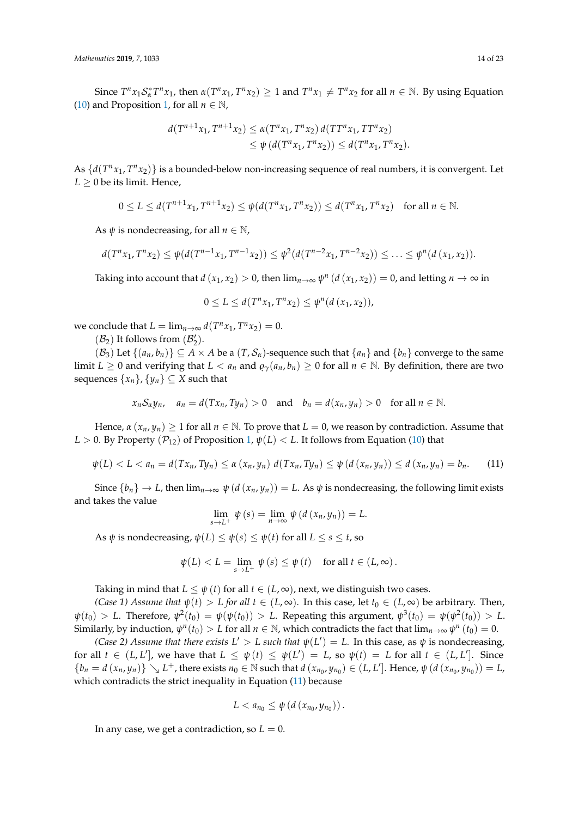Since  $T^n x_1 S_{\alpha}^* T^n x_1$ , then  $\alpha(T^n x_1, T^n x_2) \ge 1$  and  $T^n x_1 \ne T^n x_2$  for all  $n \in \mathbb{N}$ . By using Equation [\(10\)](#page-12-0) and Proposition [1,](#page-2-1) for all  $n \in \mathbb{N}$ ,

$$
d(T^{n+1}x_1, T^{n+1}x_2) \le \alpha(T^n x_1, T^n x_2) d(TT^n x_1, TT^n x_2)
$$
  
 
$$
\le \psi(d(T^n x_1, T^n x_2)) \le d(T^n x_1, T^n x_2).
$$

As  $\{d(T^n x_1, T^n x_2)\}$  is a bounded-below non-increasing sequence of real numbers, it is convergent. Let  $L \geq 0$  be its limit. Hence,

$$
0 \le L \le d(T^{n+1}x_1, T^{n+1}x_2) \le \psi(d(T^n x_1, T^n x_2)) \le d(T^n x_1, T^n x_2) \text{ for all } n \in \mathbb{N}.
$$

As  $\psi$  is nondecreasing, for all  $n \in \mathbb{N}$ ,

$$
d(T^{n}x_1, T^{n}x_2) \leq \psi(d(T^{n-1}x_1, T^{n-1}x_2)) \leq \psi^2(d(T^{n-2}x_1, T^{n-2}x_2)) \leq \ldots \leq \psi^n(d(x_1, x_2)).
$$

Taking into account that  $d(x_1, x_2) > 0$ , then  $\lim_{n\to\infty} \psi^n(d(x_1, x_2)) = 0$ , and letting  $n \to \infty$  in

$$
0 \le L \le d(T^n x_1, T^n x_2) \le \psi^n(d(x_1, x_2)),
$$

we conclude that  $L = \lim_{n \to \infty} d(T^n x_1, T^n x_2) = 0.$ 

 $(\mathcal{B}_2)$  It follows from  $(\mathcal{B}_2^{\prime}).$ 

 $(\mathcal{B}_3)$  Let  $\{(a_n, b_n)\}\subseteq A\times A$  be a  $(T, \mathcal{S}_\alpha)$ -sequence such that  $\{a_n\}$  and  $\{b_n\}$  converge to the same limit  $L \geq 0$  and verifying that  $L < a_n$  and  $\varrho_{\gamma}(a_n, b_n) \geq 0$  for all  $n \in \mathbb{N}$ . By definition, there are two sequences  $\{x_n\}$ ,  $\{y_n\} \subseteq X$  such that

$$
x_n S_\alpha y_n, \quad a_n = d(Tx_n, Ty_n) > 0 \quad \text{and} \quad b_n = d(x_n, y_n) > 0 \quad \text{for all } n \in \mathbb{N}.
$$

Hence,  $\alpha$  ( $x_n, y_n$ )  $\geq 1$  for all  $n \in \mathbb{N}$ . To prove that  $L = 0$ , we reason by contradiction. Assume that *L* > 0. By Property  $(\mathcal{P}_{12})$  of Proposition [1,](#page-2-1)  $\psi(L)$  < *L*. It follows from Equation [\(10\)](#page-12-0) that

<span id="page-13-0"></span>
$$
\psi(L) < L < a_n = d(Tx_n, Ty_n) \le \alpha(x_n, y_n) \ d(Tx_n, Ty_n) \le \psi(d(x_n, y_n)) \le d(x_n, y_n) = b_n. \tag{11}
$$

Since  $\{b_n\} \to L$ , then  $\lim_{n \to \infty} \psi(d(x_n, y_n)) = L$ . As  $\psi$  is nondecreasing, the following limit exists and takes the value

$$
\lim_{s \to L^{+}} \psi(s) = \lim_{n \to \infty} \psi(d(x_n, y_n)) = L.
$$

As  $\psi$  is nondecreasing,  $\psi(L) \leq \psi(s) \leq \psi(t)$  for all  $L \leq s \leq t$ , so

$$
\psi(L) < L = \lim_{s \to L^{+}} \psi(s) \leq \psi(t) \quad \text{for all } t \in (L, \infty).
$$

Taking in mind that  $L \leq \psi(t)$  for all  $t \in (L, \infty)$ , next, we distinguish two cases.

*(Case 1) Assume that*  $\psi(t) > L$  *for all*  $t \in (L, \infty)$ *.* In this case, let  $t_0 \in (L, \infty)$  be arbitrary. Then,  $\psi(t_0) > L$ . Therefore,  $\psi^2(t_0) = \psi(\psi(t_0)) > L$ . Repeating this argument,  $\psi^3(t_0) = \psi(\psi^2(t_0)) > L$ . Similarly, by induction,  $\psi^n(t_0) > L$  for all  $n \in \mathbb{N}$ , which contradicts the fact that  $\lim_{n\to\infty}\psi^n(t_0) = 0$ .

*(Case 2) Assume that there exists*  $L' > L$  *such that*  $\psi(L') = L$ . In this case, as  $\psi$  is nondecreasing, for all  $t \in (L, L']$ , we have that  $L \leq \psi(t) \leq \psi(L') = L$ , so  $\psi(t) = L$  for all  $t \in (L, L']$ . Since  $\{b_n=d(x_n,y_n)\}\searrow L^+$ , there exists  $n_0\in\mathbb{N}$  such that  $d(x_{n_0},y_{n_0})\in (L,L']$ . Hence,  $\psi(d(x_{n_0},y_{n_0}))=L$ , which contradicts the strict inequality in Equation [\(11\)](#page-13-0) because

$$
L < a_{n_0} \leq \psi \left( d \left( x_{n_0}, y_{n_0} \right) \right).
$$

In any case, we get a contradiction, so  $L = 0$ .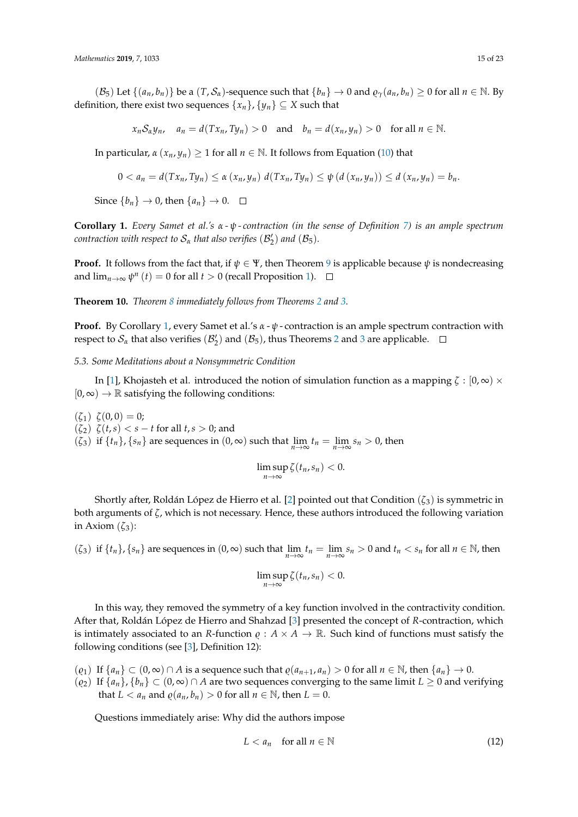$(\mathcal{B}_5)$  Let  $\{(a_n, b_n)\}$  be a  $(T, \mathcal{S}_\alpha)$ -sequence such that  $\{b_n\} \to 0$  and  $\varrho_\gamma(a_n, b_n) \ge 0$  for all  $n \in \mathbb{N}$ . By definition, there exist two sequences  $\{x_n\}$ ,  $\{y_n\} \subseteq X$  such that

$$
x_n S_\alpha y_n
$$
,  $a_n = d(Tx_n, Ty_n) > 0$  and  $b_n = d(x_n, y_n) > 0$  for all  $n \in \mathbb{N}$ .

In particular,  $\alpha(x_n, y_n) \geq 1$  for all  $n \in \mathbb{N}$ . It follows from Equation [\(10\)](#page-12-0) that

$$
0 < a_n = d(Tx_n, Ty_n) \leq \alpha (x_n, y_n) d(Tx_n, Ty_n) \leq \psi (d(x_n, y_n)) \leq d(x_n, y_n) = b_n.
$$

Since  ${b_n} \rightarrow 0$ , then  ${a_n} \rightarrow 0$ .  $\Box$ 

<span id="page-14-0"></span>**Corollary 1.** *Every Samet et al.'s α - ψ - contraction (in the sense of Definition [7\)](#page-12-1) is an ample spectrum contraction with respect to*  $\mathcal{S}_{\alpha}$  *that also verifies*  $(\mathcal{B}'_2)$  *and*  $(\mathcal{B}_5)$ *.* 

**Proof.** It follows from the fact that, if  $\psi \in \Psi$ , then Theorem [9](#page-12-2) is applicable because  $\psi$  is nondecreasing and  $\lim_{n\to\infty}\psi^n(t)=0$  for all  $t>0$  (recall Proposition [1\)](#page-2-1).

**Theorem 10.** *Theorem [8](#page-12-3) immediately follows from Theorems [2](#page-7-0) and [3.](#page-9-2)*

**Proof.** By Corollary [1,](#page-14-0) every Samet et al.'s *α* - *ψ* - contraction is an ample spectrum contraction with respect to  $\mathcal{S}_\alpha$  that also verifies  $(\mathcal{B}_2')$  $(\mathcal{B}_2')$  $(\mathcal{B}_2')$  and  $(\mathcal{B}_5)$ , thus Theorems 2 and [3](#page-9-2) are applicable.

*5.3. Some Meditations about a Nonsymmetric Condition*

In [\[1\]](#page-21-0), Khojasteh et al. introduced the notion of simulation function as a mapping  $\zeta : [0, \infty) \times$  $[0, \infty) \rightarrow \mathbb{R}$  satisfying the following conditions:

 $(\zeta_1) \; \zeta(0,0) = 0;$ (*ζ*2) *ζ*(*t*,*s*) < *s* − *t* for all *t*,*s* > 0; and  $(\zeta_3)$  if  $\{t_n\}$ ,  $\{s_n\}$  are sequences in  $(0, \infty)$  such that  $\lim_{n\to\infty} t_n = \lim_{n\to\infty} s_n > 0$ , then

$$
\limsup_{n\to\infty}\zeta(t_n,s_n)<0.
$$

Shortly after, Roldán López de Hierro et al. [\[2\]](#page-21-1) pointed out that Condition (*ζ*3) is symmetric in both arguments of *ζ*, which is not necessary. Hence, these authors introduced the following variation in Axiom  $(\zeta_3)$ :

 $(\zeta_3)$  if  $\{t_n\}$ ,  $\{s_n\}$  are sequences in  $(0, \infty)$  such that  $\lim_{n\to\infty} t_n = \lim_{n\to\infty} s_n > 0$  and  $t_n < s_n$  for all  $n \in \mathbb{N}$ , then

$$
\limsup_{n\to\infty}\zeta(t_n,s_n)<0.
$$

In this way, they removed the symmetry of a key function involved in the contractivity condition. After that, Roldán López de Hierro and Shahzad [\[3\]](#page-21-2) presented the concept of *R*-contraction, which is intimately associated to an *R*-function  $\rho : A \times A \rightarrow \mathbb{R}$ . Such kind of functions must satisfy the following conditions (see [\[3\]](#page-21-2), Definition 12):

- $(\varrho_1)$  If  $\{a_n\}$  ⊂  $(0, \infty)$  ∩ *A* is a sequence such that  $\varrho(a_{n+1}, a_n) > 0$  for all  $n \in \mathbb{N}$ , then  $\{a_n\} \to 0$ .
- $(\varrho_2)$  If  $\{a_n\}, \{b_n\} \subset (0, \infty) \cap A$  are two sequences converging to the same limit  $L \geq 0$  and verifying that  $L < a_n$  and  $\varrho(a_n, b_n) > 0$  for all  $n \in \mathbb{N}$ , then  $L = 0$ .

Questions immediately arise: Why did the authors impose

<span id="page-14-1"></span>
$$
L < a_n \quad \text{for all } n \in \mathbb{N} \tag{12}
$$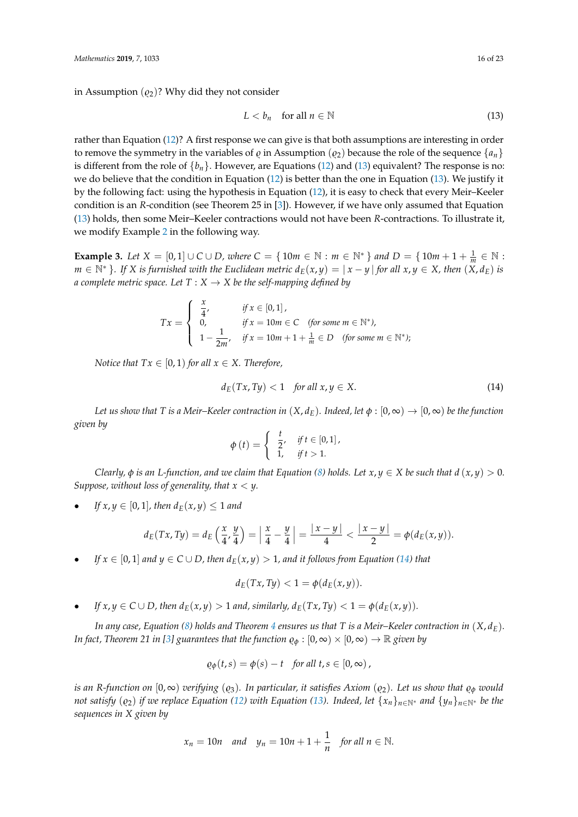in Assumption  $(\varrho_2)$ ? Why did they not consider

<span id="page-15-0"></span>
$$
L < b_n \quad \text{for all } n \in \mathbb{N} \tag{13}
$$

rather than Equation [\(12\)](#page-14-1)? A first response we can give is that both assumptions are interesting in order to remove the symmetry in the variables of  $\varrho$  in Assumption ( $\varrho_2$ ) because the role of the sequence  $\{a_n\}$ is different from the role of  $\{b_n\}$ . However, are Equations [\(12\)](#page-14-1) and [\(13\)](#page-15-0) equivalent? The response is no: we do believe that the condition in Equation [\(12\)](#page-14-1) is better than the one in Equation [\(13\)](#page-15-0). We justify it by the following fact: using the hypothesis in Equation [\(12\)](#page-14-1), it is easy to check that every Meir–Keeler condition is an *R*-condition (see Theorem 25 in [\[3\]](#page-21-2)). However, if we have only assumed that Equation [\(13\)](#page-15-0) holds, then some Meir–Keeler contractions would not have been *R*-contractions. To illustrate it, we modify Example [2](#page-6-0) in the following way.

<span id="page-15-2"></span>**Example 3.** *Let*  $X = [0, 1] \cup C \cup D$ , *where*  $C = \{ 10m \in \mathbb{N} : m \in \mathbb{N}^* \}$  *and*  $D = \{ 10m + 1 + \frac{1}{m} \in \mathbb{N} : m \in \mathbb{N} \}$  $m \in \mathbb{N}^*$  }. If X is furnished with the Euclidean metric  $d_E(x,y) = |x-y|$  for all  $x, y \in X$ , then  $(X, d_E)$  is *a complete metric space. Let*  $T : X \rightarrow X$  *be the self-mapping defined by* 

$$
Tx = \begin{cases} \frac{x}{4}, & \text{if } x \in [0,1], \\ 0, & \text{if } x = 10m \in \mathbb{C} \quad \text{(for some } m \in \mathbb{N}^*), \\ 1 - \frac{1}{2m}, & \text{if } x = 10m + 1 + \frac{1}{m} \in D \quad \text{(for some } m \in \mathbb{N}^* \text{)}; \end{cases}
$$

*Notice that*  $Tx \in [0, 1)$  *for all*  $x \in X$ *. Therefore,* 

<span id="page-15-1"></span>
$$
d_E(Tx, Ty) < 1 \quad \text{for all } x, y \in X. \tag{14}
$$

*Let us show that T is a Meir–Keeler contraction in*  $(X, d_F)$ *. Indeed, let*  $\phi : [0, \infty) \to [0, \infty)$  *be the function given by*

$$
\phi(t) = \begin{cases} \frac{t}{2}, & \text{if } t \in [0,1], \\ 1, & \text{if } t > 1. \end{cases}
$$

*Clearly,*  $\phi$  *is an L-function, and we claim that Equation [\(8\)](#page-10-1) holds. Let*  $x, y \in X$  *be such that*  $d(x, y) > 0$ *. Suppose, without loss of generality, that x* < *y.*

*If*  $x, y \in [0, 1]$ *, then*  $d_E(x, y) \leq 1$  *and* 

$$
d_E(Tx, Ty) = d_E\left(\frac{x}{4}, \frac{y}{4}\right) = \left|\frac{x}{4} - \frac{y}{4}\right| = \frac{|x - y|}{4} < \frac{|x - y|}{2} = \phi(d_E(x, y)).
$$

*If*  $x \in [0, 1]$  *and*  $y \in C \cup D$ *, then*  $d_E(x, y) > 1$ *, and it follows from Equation [\(14\)](#page-15-1) that* 

$$
d_E(Tx, Ty) < 1 = \phi(d_E(x, y)).
$$

*If*  $x, y \in C \cup D$ , then  $d_E(x, y) > 1$  and, similarly,  $d_E(Tx, Ty) < 1 = \phi(d_E(x, y))$ .

*In any case, Equation [\(8\)](#page-10-1) holds and Theorem [4](#page-10-0) ensures us that T is a Meir–Keeler contraction in* (*X*, *dE*)*. In fact, Theorem 21 in [\[3\]](#page-21-2) guarantees that the function*  $\rho_{\phi}$  :  $[0,\infty) \times [0,\infty) \to \mathbb{R}$  *given by* 

$$
\varrho_{\phi}(t,s) = \phi(s) - t \quad \text{for all } t,s \in [0,\infty),
$$

*is an R*-function on  $[0, \infty)$  *verifying*  $(o_3)$ *. In particular, it satisfies Axiom*  $(o_2)$ *. Let us show that*  $o_0$  *would not satisfy*  $(\varrho_2)$  *if we replace Equation* [\(12\)](#page-14-1) *with Equation* [\(13\)](#page-15-0)*. Indeed, let*  $\{x_n\}_{n\in\mathbb{N}^*}$  *and*  $\{y_n\}_{n\in\mathbb{N}^*}$  *be the sequences in X given by*

$$
x_n = 10n
$$
 and  $y_n = 10n + 1 + \frac{1}{n}$  for all  $n \in \mathbb{N}$ .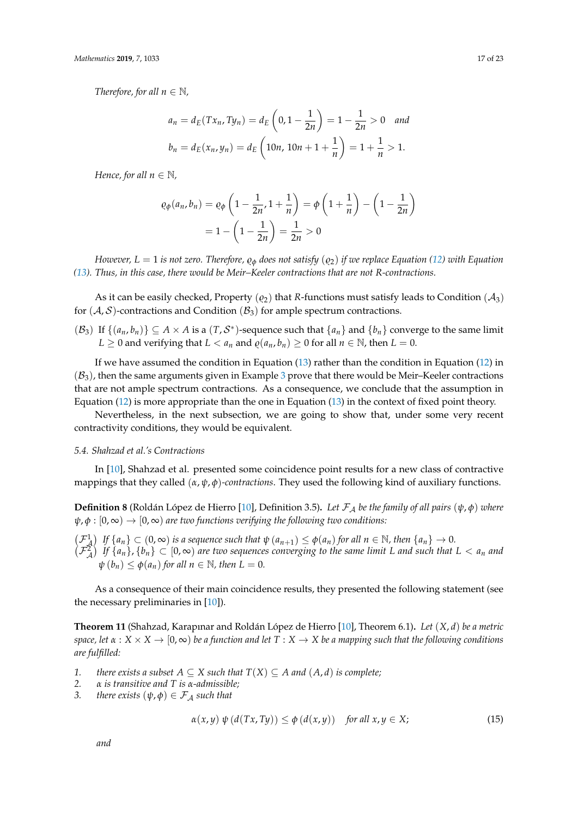*Therefore, for all*  $n \in \mathbb{N}$ *,* 

$$
a_n = d_E(Tx_n, Ty_n) = d_E\left(0, 1 - \frac{1}{2n}\right) = 1 - \frac{1}{2n} > 0 \text{ and}
$$
  

$$
b_n = d_E(x_n, y_n) = d_E\left(10n, 10n + 1 + \frac{1}{n}\right) = 1 + \frac{1}{n} > 1.
$$

*Hence, for all*  $n \in \mathbb{N}$ *,* 

$$
\varrho_{\phi}(a_n, b_n) = \varrho_{\phi}\left(1 - \frac{1}{2n}, 1 + \frac{1}{n}\right) = \phi\left(1 + \frac{1}{n}\right) - \left(1 - \frac{1}{2n}\right)
$$

$$
= 1 - \left(1 - \frac{1}{2n}\right) = \frac{1}{2n} > 0
$$

*However,*  $L = 1$  *is not zero. Therefore,*  $\rho_{\phi}$  *does not satisfy* ( $\rho_2$ ) *if we replace Equation* [\(12\)](#page-14-1) *with Equation [\(13\)](#page-15-0). Thus, in this case, there would be Meir–Keeler contractions that are not R-contractions.*

As it can be easily checked, Property ( $\varrho_2$ ) that *R*-functions must satisfy leads to Condition ( $\mathcal{A}_3$ ) for  $(A, S)$ -contractions and Condition  $(B_3)$  for ample spectrum contractions.

 $(\mathcal{B}_3)$  If  $\{(a_n, b_n)\}\subseteq A\times A$  is a  $(T, \mathcal{S}^*)$ -sequence such that  $\{a_n\}$  and  $\{b_n\}$  converge to the same limit *L* ≥ 0 and verifying that *L* < *a*<sup>*n*</sup> and  $\varrho$ (*a*<sub>*n*</sub>, *b*<sub>*n*</sub>) ≥ 0 for all *n* ∈ N, then *L* = 0.

If we have assumed the condition in Equation [\(13\)](#page-15-0) rather than the condition in Equation [\(12\)](#page-14-1) in  $(\mathcal{B}_3)$  $(\mathcal{B}_3)$  $(\mathcal{B}_3)$ , then the same arguments given in Example 3 prove that there would be Meir–Keeler contractions that are not ample spectrum contractions. As a consequence, we conclude that the assumption in Equation [\(12\)](#page-14-1) is more appropriate than the one in Equation [\(13\)](#page-15-0) in the context of fixed point theory.

Nevertheless, in the next subsection, we are going to show that, under some very recent contractivity conditions, they would be equivalent.

# *5.4. Shahzad et al.'s Contractions*

In [\[10\]](#page-22-14), Shahzad et al. presented some coincidence point results for a new class of contractive mappings that they called (*α*, *ψ*, *φ*)*-contractions*. They used the following kind of auxiliary functions.

**Definition 8** (Roldán López de Hierro [\[10\]](#page-22-14), Definition 3.5). Let  $\mathcal{F}_A$  be the family of all pairs  $(\psi, \phi)$  where  $\psi$ ,  $\phi$  :  $[0,\infty) \rightarrow [0,\infty)$  *are two functions verifying the following two conditions:* 

 $\left(\mathcal{F}_{\mathcal{A}}^{1}\right)$  If  $\{a_n\} \subset (0,\infty)$  is a sequence such that  $\psi(a_{n+1}) \leq \phi(a_n)$  for all  $n \in \mathbb{N}$ , then  $\{a_n\} \to 0$ .  $(\mathcal{F}_\mathcal{A}^2)$  If  $\{a_n\}$ ,  $\{b_n\} \subset [0,\infty)$  are two sequences converging to the same limit L and such that  $L < a_n$  and  $\psi(b_n) \leq \phi(a_n)$  *for all*  $n \in \mathbb{N}$ *, then*  $L = 0$ *.* 

As a consequence of their main coincidence results, they presented the following statement (see the necessary preliminaries in [\[10\]](#page-22-14)).

<span id="page-16-0"></span>**Theorem 11** (Shahzad, Karapınar and Roldán López de Hierro [\[10\]](#page-22-14), Theorem 6.1)**.** *Let* (*X*, *d*) *be a metric space, let*  $\alpha$  :  $X \times X \to [0, \infty)$  *be a function and let*  $T : X \to X$  *be a mapping such that the following conditions are fulfilled:*

- *1. there exists a subset*  $A \subseteq X$  *such that*  $T(X) \subseteq A$  *and*  $(A, d)$  *is complete;*
- *2.*  $\alpha$  *is transitive and*  $T$  *is*  $\alpha$ -*admissible;*<br>*3. there exists*  $(\psi, \phi) \in \mathcal{F}_A$  *such that*
- *there exists*  $(\psi, \phi) \in \mathcal{F}_A$  *such that*

$$
\alpha(x, y) \psi(d(Tx, Ty)) \le \phi(d(x, y)) \quad \text{for all } x, y \in X; \tag{15}
$$

*and*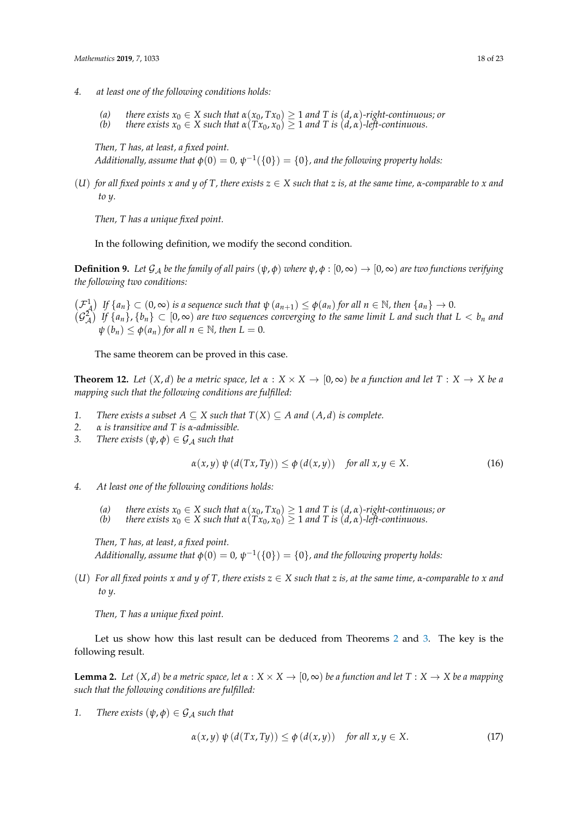- *4. at least one of the following conditions holds:*
	- *(a) there exists x*<sup>0</sup> ∈ *X such that α*(*x*0, *Tx*0) ≥ 1 *and T is* (*d*, *α*)*-right-continuous; or*
	- *(b) there exists*  $x_0 \in X$  *such that*  $\alpha(Tx_0, x_0) \geq 1$  *and*  $T$  *is*  $(d, \alpha)$ *-left-continuous.*

*Then, T has, at least, a fixed point.*  $Additionally, assume that  $\phi(0) = 0, \psi^{-1}(\{0\}) = \{0\},$  and the following property holds:$ 

(U) for all fixed points x and y of T, there exists  $z \in X$  such that z is, at the same time,  $\alpha$ -comparable to x and *to y.*

*Then, T has a unique fixed point.*

In the following definition, we modify the second condition.

**Definition 9.** Let  $\mathcal{G}_A$  be the family of all pairs  $(\psi, \phi)$  where  $\psi, \phi : [0, \infty) \to [0, \infty)$  are two functions verifying *the following two conditions:*

 $\left(\mathcal{F}_{\mathcal{A}}^{1}\right)$  If  $\{a_n\} \subset (0,\infty)$  is a sequence such that  $\psi(a_{n+1}) \leq \phi(a_n)$  for all  $n \in \mathbb{N}$ , then  $\{a_n\} \to 0$ .  $(\mathcal{G}_{\mathcal{A}}^2)$  If  $\{a_n\}$ ,  $\{b_n\} \subset [0,\infty)$  are two sequences converging to the same limit L and such that  $L < b_n$  and  $\psi(b_n) \leq \phi(a_n)$  *for all*  $n \in \mathbb{N}$ *, then*  $L = 0$ *.* 

The same theorem can be proved in this case.

<span id="page-17-2"></span>**Theorem 12.** Let  $(X, d)$  be a metric space, let  $\alpha : X \times X \to [0, \infty)$  be a function and let  $T : X \to X$  be a *mapping such that the following conditions are fulfilled:*

- *1. There exists a subset*  $A \subseteq X$  *such that*  $T(X) \subseteq A$  *and*  $(A, d)$  *is complete.*
- *2.*  $\alpha$  *is transitive and T is*  $\alpha$ -*admissible.*<br>*3. There exists*  $(\psi, \phi) \in G$  *A such that*
- $\text{There exists } (\psi, \phi) \in \mathcal{G}_{\mathcal{A}} \text{ such that}$

$$
\alpha(x, y) \psi(d(Tx, Ty)) \le \phi(d(x, y)) \quad \text{for all } x, y \in X. \tag{16}
$$

- *4. At least one of the following conditions holds:*
	- *(a) there exists x*<sup>0</sup> ∈ *X such that α*(*x*0, *Tx*0) ≥ 1 *and T is* (*d*, *α*)*-right-continuous; or*
	- *(b) there exists*  $x_0 \in X$  *such that*  $\alpha(Tx_0, x_0) \geq 1$  *and*  $T$  *is*  $(d, \alpha)$ *-left-continuous.*

*Then, T has, at least, a fixed point.*  $A$ dditionally, assume that  $\phi(0)=0$ ,  $\psi^{-1}(\{0\})=\{0\}$ , and the following property holds:

(U) For all fixed points x and y of T, there exists  $z \in X$  such that z is, at the same time,  $\alpha$ -comparable to x and *to y.*

*Then, T has a unique fixed point.*

Let us show how this last result can be deduced from Theorems [2](#page-7-0) and [3.](#page-9-2) The key is the following result.

<span id="page-17-1"></span>**Lemma 2.** Let  $(X, d)$  be a metric space, let  $\alpha : X \times X \to [0, \infty)$  be a function and let  $T : X \to X$  be a mapping *such that the following conditions are fulfilled:*

*1. There exists*  $(\psi, \phi) \in \mathcal{G}_A$  *such that* 

<span id="page-17-0"></span>
$$
\alpha(x,y) \psi(d(Tx,Ty)) \le \phi(d(x,y)) \quad \text{for all } x, y \in X. \tag{17}
$$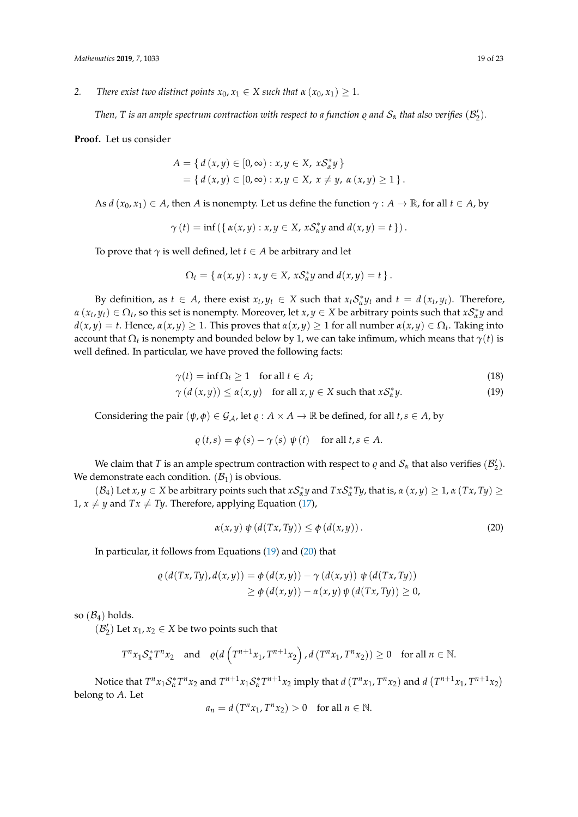*2. There exist two distinct points*  $x_0, x_1 \in X$  *such that*  $\alpha$   $(x_0, x_1) \geq 1$ *.* 

*Then, T is an ample spectrum contraction with respect to a function*  $\varrho$  *and*  $\mathcal{S}_\alpha$  *<i>that also verifies*  $(\mathcal{B}'_2).$ 

**Proof.** Let us consider

$$
A = \{ d(x, y) \in [0, \infty) : x, y \in X, xS_x^*y \}
$$
  
=  $\{ d(x, y) \in [0, \infty) : x, y \in X, x \neq y, \alpha(x, y) \ge 1 \}$ 

As  $d(x_0, x_1) \in A$ , then *A* is nonempty. Let us define the function  $\gamma : A \to \mathbb{R}$ , for all  $t \in A$ , by

$$
\gamma(t) = \inf\left(\left\{\,\alpha(x,y): x,y \in X,\, x\mathcal{S}_{\alpha}^*y \text{ and } d(x,y) = t\,\right\}\right).
$$

To prove that  $\gamma$  is well defined, let  $t \in A$  be arbitrary and let

$$
\Omega_t = \{ \alpha(x,y) : x,y \in X, xS_{\alpha}^*y \text{ and } d(x,y) = t \}.
$$

By definition, as  $t \in A$ , there exist  $x_t, y_t \in X$  such that  $x_t S_\alpha^* y_t$  and  $t = d(x_t, y_t)$ . Therefore,  $\alpha(x_t, y_t) \in \Omega_t$ , so this set is nonempty. Moreover, let  $x, y \in X$  be arbitrary points such that  $xS^*_\alpha y$  and *d*(*x*, *y*) = *t*. Hence, *α*(*x*, *y*) ≥ 1. This proves that *α*(*x*, *y*) ≥ 1 for all number *α*(*x*, *y*) ∈ Ω*<sup>t</sup>* . Taking into account that  $\Omega_t$  is nonempty and bounded below by 1, we can take infimum, which means that  $\gamma(t)$  is well defined. In particular, we have proved the following facts:

$$
\gamma(t) = \inf \Omega_t \ge 1 \quad \text{for all } t \in A;
$$
\n(18)

$$
\gamma(d(x,y)) \le \alpha(x,y) \quad \text{for all } x, y \in X \text{ such that } x\mathcal{S}_\alpha^*y. \tag{19}
$$

Considering the pair  $(\psi, \phi) \in \mathcal{G}_A$ , let  $\varrho : A \times A \to \mathbb{R}$  be defined, for all  $t, s \in A$ , by

<span id="page-18-0"></span>
$$
\varrho(t,s) = \phi(s) - \gamma(s) \psi(t) \quad \text{for all } t, s \in A.
$$

We claim that *T* is an ample spectrum contraction with respect to  $\varrho$  and  $\mathcal{S}_\alpha$  that also verifies  $(\mathcal{B}'_2)$ . We demonstrate each condition.  $(\mathcal{B}_1)$  is obvious.

 $(B_4)$  Let  $x, y \in X$  be arbitrary points such that  $xS^*_{\alpha}y$  and  $TxS^*_{\alpha}Ty$ , that is,  $\alpha(x, y) \ge 1$ ,  $\alpha(Tx, Ty) \ge 0$ 1,  $x \neq y$  and  $Tx \neq Ty$ . Therefore, applying Equation [\(17\)](#page-17-0),

<span id="page-18-1"></span>
$$
\alpha(x,y)\,\psi\left(d(Tx,Ty)\right)\leq\phi\left(d(x,y)\right). \tag{20}
$$

In particular, it follows from Equations [\(19\)](#page-18-0) and [\(20\)](#page-18-1) that

$$
\varrho(d(Tx,Ty),d(x,y)) = \varphi(d(x,y)) - \gamma(d(x,y)) \psi(d(Tx,Ty))
$$
  
 
$$
\geq \varphi(d(x,y)) - \alpha(x,y) \psi(d(Tx,Ty)) \geq 0,
$$

so  $(\mathcal{B}_4)$  holds.

 $(\mathcal{B}'_2)$  Let  $x_1, x_2 \in X$  be two points such that

$$
T^{n}x_{1}S_{\alpha}^{*}T^{n}x_{2} \text{ and } \varrho(d\left(T^{n+1}x_{1}, T^{n+1}x_{2}\right), d\left(T^{n}x_{1}, T^{n}x_{2}\right)) \geq 0 \text{ for all } n \in \mathbb{N}.
$$

Notice that  $T^n x_1 S^*_\alpha T^n x_2$  and  $T^{n+1} x_1 S^*_\alpha T^{n+1} x_2$  imply that  $d(T^n x_1, T^n x_2)$  and  $d(T^{n+1} x_1, T^{n+1} x_2)$ belong to *A*. Let

$$
a_n = d(T^n x_1, T^n x_2) > 0 \text{ for all } n \in \mathbb{N}.
$$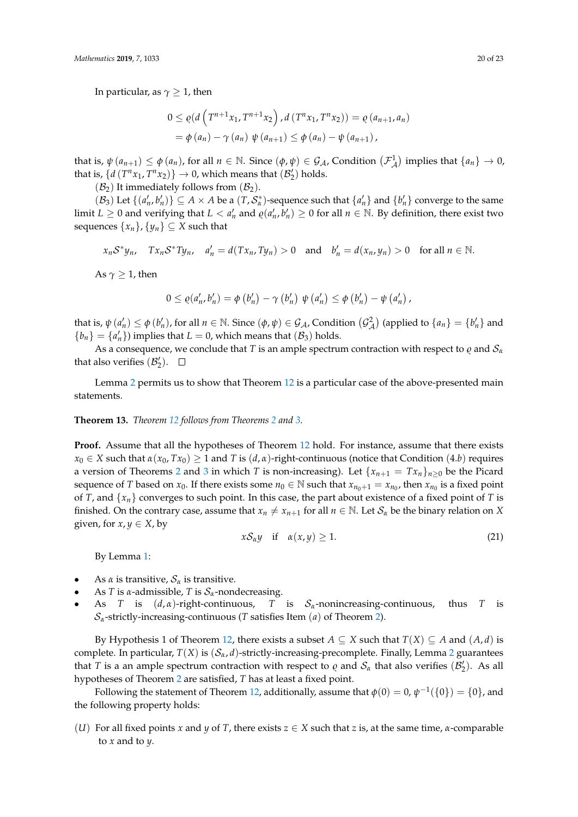In particular, as  $\gamma \geq 1$ , then

$$
0 \le \varrho(d\left(T^{n+1}x_1, T^{n+1}x_2\right), d(T^n x_1, T^n x_2)) = \varrho(a_{n+1}, a_n)
$$
  
=  $\varphi(a_n) - \gamma(a_n) \psi(a_{n+1}) \le \varphi(a_n) - \psi(a_{n+1}),$ 

that is,  $\psi(a_{n+1}) \leq \phi(a_n)$ , for all  $n \in \mathbb{N}$ . Since  $(\phi, \psi) \in \mathcal{G}_\mathcal{A}$ , Condition  $(\mathcal{F}_\mathcal{A}^1)$  implies that  $\{a_n\} \to 0$ , that is,  $\{d(T^n x_1, T^n x_2)\}\rightarrow 0$ , which means that  $(\mathcal{B}'_2)$  holds.

 $(\mathcal{B}_2)$  It immediately follows from  $(\mathcal{B}_2)$ .

 $(\mathcal{B}_3)$  Let  $\{(a'_n, b'_n)\}\subseteq A\times A$  be a  $(T, \mathcal{S}_{\alpha}^*)$ -sequence such that  $\{a'_n\}$  and  $\{b'_n\}$  converge to the same limit  $L \ge 0$  and verifying that  $L < a'_n$  and  $\varrho(a'_n, b'_n) \ge 0$  for all  $n \in \mathbb{N}$ . By definition, there exist two sequences  $\{x_n\}$ ,  $\{y_n\} \subseteq X$  such that

$$
x_nS^*y_n
$$
,  $Tx_nS^*Ty_n$ ,  $a'_n = d(Tx_n, Ty_n) > 0$  and  $b'_n = d(x_n, y_n) > 0$  for all  $n \in \mathbb{N}$ .

As  $\gamma \geq 1$ , then

$$
0 \leq \varrho(a'_{n}, b'_{n}) = \varphi(b'_{n}) - \gamma(b'_{n}) \psi(a'_{n}) \leq \varphi(b'_{n}) - \psi(a'_{n}),
$$

that is,  $\psi(a'_n) \leq \phi(b'_n)$ , for all  $n \in \mathbb{N}$ . Since  $(\phi, \psi) \in \mathcal{G}_\mathcal{A}$ , Condition  $(\mathcal{G}_\mathcal{A}^2)$  (applied to  $\{a_n\} = \{b'_n\}$  and  ${b_n} = {a'_n}$  implies that  $L = 0$ , which means that  $(B_3)$  holds.

As a consequence, we conclude that *T* is an ample spectrum contraction with respect to  $\varrho$  and  $S_\alpha$ that also verifies  $(\mathcal{B}'_2)$ .

Lemma [2](#page-17-1) permits us to show that Theorem [12](#page-17-2) is a particular case of the above-presented main statements.

#### **Theorem 13.** *Theorem [12](#page-17-2) follows from Theorems [2](#page-7-0) and [3.](#page-9-2)*

**Proof.** Assume that all the hypotheses of Theorem [12](#page-17-2) hold. For instance, assume that there exists  $x_0 \in X$  such that  $\alpha(x_0, Tx_0) \ge 1$  and *T* is  $(d, \alpha)$ -right-continuous (notice that Condition (4.*b*) requires a version of Theorems [2](#page-7-0) and [3](#page-9-2) in which *T* is non-increasing). Let  $\{x_{n+1} = Tx_n\}_{n>0}$  be the Picard sequence of *T* based on  $x_0$ . If there exists some  $n_0 \in \mathbb{N}$  such that  $x_{n_0+1} = x_{n_0}$ , then  $x_{n_0}$  is a fixed point of *T*, and  $\{x_n\}$  converges to such point. In this case, the part about existence of a fixed point of *T* is finished. On the contrary case, assume that  $x_n \neq x_{n+1}$  for all  $n \in \mathbb{N}$ . Let  $\mathcal{S}_\alpha$  be the binary relation on *X* given, for  $x, y \in X$ , by

$$
xS_{\alpha}y \quad \text{if} \quad \alpha(x,y) \ge 1. \tag{21}
$$

By Lemma [1:](#page-2-2)

- As  $\alpha$  is transitive,  $S_{\alpha}$  is transitive.
- As *T* is *α*-admissible, *T* is  $S_\alpha$ -nondecreasing.
- As *T* is (*d*, *α*)-right-continuous, *T* is S*α*-nonincreasing-continuous, thus *T* is  $S_\alpha$ -strictly-increasing-continuous (*T* satisfies Item (*a*) of Theorem [2\)](#page-7-0).

By Hypothesis 1 of Theorem [12,](#page-17-2) there exists a subset  $A \subseteq X$  such that  $T(X) \subseteq A$  and  $(A, d)$  is complete. In particular, *T*(*X*) is (S*α*, *d*)-strictly-increasing-precomplete. Finally, Lemma [2](#page-17-1) guarantees that *T* is a an ample spectrum contraction with respect to  $\varrho$  and  $S_\alpha$  that also verifies  $(\mathcal{B}'_2)$ . As all hypotheses of Theorem [2](#page-7-0) are satisfied, *T* has at least a fixed point.

Following the statement of Theorem [12,](#page-17-2) additionally, assume that  $\phi(0) = 0$ ,  $\psi^{-1}(\{0\}) = \{0\}$ , and the following property holds:

(*U*) For all fixed points *x* and *y* of *T*, there exists *z* ∈ *X* such that *z* is, at the same time, *α*-comparable to *x* and to *y*.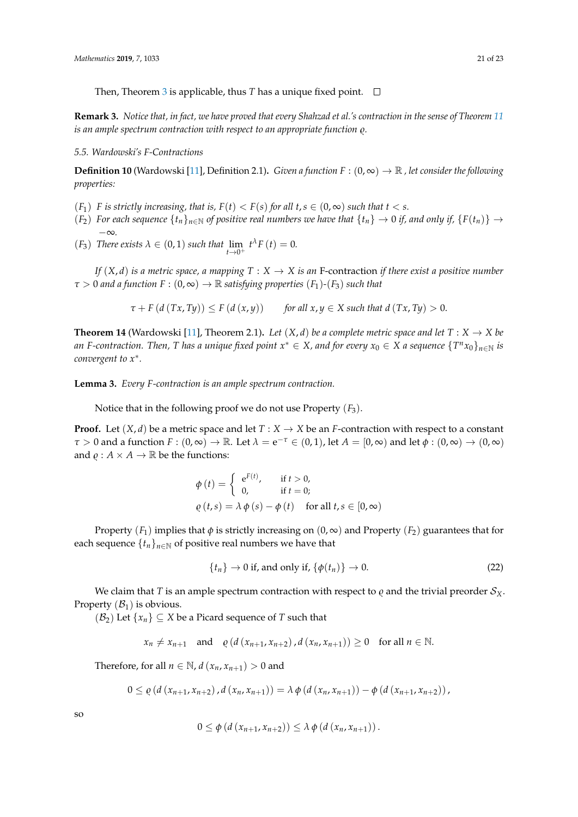Then, Theorem [3](#page-9-2) is applicable, thus *T* has a unique fixed point.  $\Box$ 

**Remark 3.** *Notice that, in fact, we have proved that every Shahzad et al.'s contraction in the sense of Theorem [11](#page-16-0) is an ample spectrum contraction with respect to an appropriate function*  $\rho$ *.* 

*5.5. Wardowski's F-Contractions*

**Definition 10** (Wardowski [\[11\]](#page-22-6), Definition 2.1). *Given a function*  $F : (0, \infty) \to \mathbb{R}$ , let consider the following *properties:*

- $(F_1)$  *F is strictly increasing, that is,*  $F(t) < F(s)$  *for all t, s*  $\in (0, \infty)$  *such that t* < *s.*
- $(F_2)$  *For each sequence*  $\{t_n\}_{n\in\mathbb{N}}$  *of positive real numbers we have that*  $\{t_n\} \to 0$  *if, and only if,*  $\{F(t_n)\} \to 0$ −∞*.*
- (*F*<sub>3</sub>) *There exists*  $\lambda \in (0,1)$  *such that*  $\lim_{t\to 0^+} t^{\lambda} F(t) = 0$ .

*If*  $(X, d)$  *is a metric space, a mapping*  $T : X \to X$  *is an* F-contraction *if there exist a positive number*  $\tau > 0$  *and a function*  $F : (0, \infty) \to \mathbb{R}$  *satisfying properties*  $(F_1)$ - $(F_3)$  *such that* 

$$
\tau + F(d(Tx, Ty)) \le F(d(x,y)) \quad \text{for all } x, y \in X \text{ such that } d(Tx, Ty) > 0.
$$

<span id="page-20-1"></span>**Theorem 14** (Wardowski [\[11\]](#page-22-6), Theorem 2.1). Let  $(X, d)$  be a complete metric space and let  $T : X \to X$  be an F-contraction. Then, T has a unique fixed point  $x^* \in X$ , and for every  $x_0 \in X$  a sequence  $\{T^n x_0\}_{n \in \mathbb{N}}$  is *convergent to x*<sup>∗</sup> *.*

**Lemma 3.** *Every F-contraction is an ample spectrum contraction.*

Notice that in the following proof we do not use Property  $(F_3)$ .

**Proof.** Let  $(X, d)$  be a metric space and let  $T : X \to X$  be an *F*-contraction with respect to a constant *τ* > 0 and a function *F* :  $(0, \infty) \to \mathbb{R}$ . Let  $\lambda = e^{-\tau} \in (0, 1)$ , let  $A = [0, \infty)$  and let  $\phi : (0, \infty) \to (0, \infty)$ and  $\rho: A \times A \rightarrow \mathbb{R}$  be the functions:

$$
\phi(t) = \begin{cases}\ne^{F(t)}, & \text{if } t > 0, \\
0, & \text{if } t = 0; \n\end{cases}
$$
\n
$$
\rho(t,s) = \lambda \phi(s) - \phi(t) \quad \text{for all } t, s \in [0, \infty)
$$

Property  $(F_1)$  implies that  $\phi$  is strictly increasing on  $(0, \infty)$  and Property  $(F_2)$  guarantees that for each sequence  $\{t_n\}_{n\in\mathbb{N}}$  of positive real numbers we have that

<span id="page-20-0"></span>
$$
\{t_n\} \to 0 \text{ if, and only if, } \{\phi(t_n)\} \to 0. \tag{22}
$$

We claim that *T* is an ample spectrum contraction with respect to  $\varrho$  and the trivial preorder  $S_X$ . Property  $(\mathcal{B}_1)$  is obvious.

 $(\mathcal{B}_2)$  Let  $\{x_n\} \subseteq X$  be a Picard sequence of *T* such that

$$
x_n \neq x_{n+1}
$$
 and  $\varrho(d(x_{n+1}, x_{n+2}), d(x_n, x_{n+1})) \geq 0$  for all  $n \in \mathbb{N}$ .

Therefore, for all  $n \in \mathbb{N}$ ,  $d(x_n, x_{n+1}) > 0$  and

$$
0 \leq \varrho (d (x_{n+1}, x_{n+2}), d (x_n, x_{n+1})) = \lambda \varphi (d (x_n, x_{n+1})) - \varphi (d (x_{n+1}, x_{n+2})),
$$

so

$$
0 \leq \phi \left( d \left( x_{n+1}, x_{n+2} \right) \right) \leq \lambda \phi \left( d \left( x_n, x_{n+1} \right) \right).
$$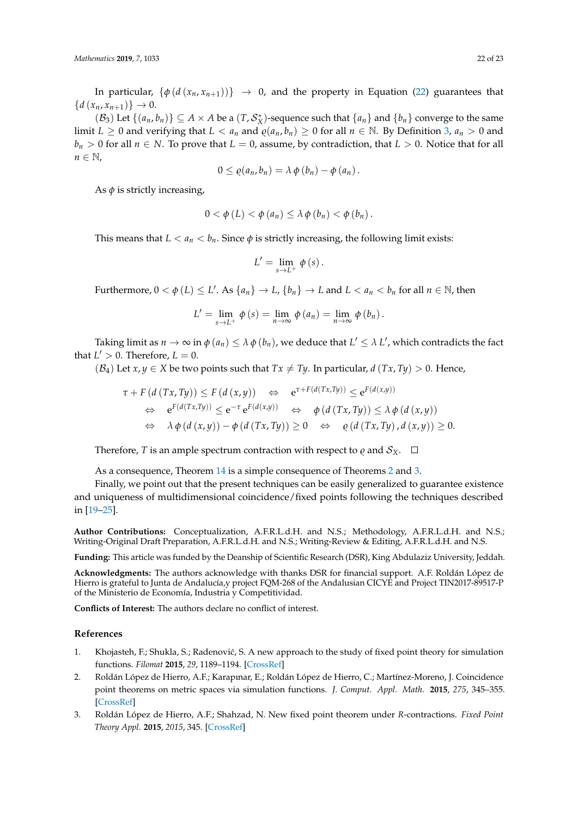In particular,  $\{\phi(d(x_n, x_{n+1}))\} \rightarrow 0$ , and the property in Equation [\(22\)](#page-20-0) guarantees that  ${d(x_n, x_{n+1}) \}\to 0.$ 

 $(\mathcal{B}_3)$  Let  $\{(a_n, b_n)\}\subseteq A\times A$  be a  $(T, \mathcal{S}_X^*)$ -sequence such that  $\{a_n\}$  and  $\{b_n\}$  converge to the same limit  $L \ge 0$  and verifying that  $L < a_n$  and  $\varrho(a_n, b_n) \ge 0$  for all  $n \in \mathbb{N}$ . By Definition [3,](#page-3-1)  $a_n > 0$  and  $b_n > 0$  for all  $n \in N$ . To prove that  $L = 0$ , assume, by contradiction, that  $L > 0$ . Notice that for all  $n \in \mathbb{N}$ ,

$$
0\leq \varrho(a_n,b_n)=\lambda\,\varphi(b_n)-\varphi(a_n)\,.
$$

As  $\phi$  is strictly increasing,

$$
0 < \phi(L) < \phi(a_n) \leq \lambda \phi(b_n) < \phi(b_n)
$$

This means that  $L < a_n < b_n$ . Since  $\phi$  is strictly increasing, the following limit exists:

$$
L'=\lim_{s\rightarrow L^{+}}\phi\left( s\right) .
$$

Furthermore,  $0 < \phi(L) \leq L'$ . As  $\{a_n\} \to L$ ,  $\{b_n\} \to L$  and  $L < a_n < b_n$  for all  $n \in \mathbb{N}$ , then

$$
L' = \lim_{s \to L^{+}} \phi(s) = \lim_{n \to \infty} \phi(a_n) = \lim_{n \to \infty} \phi(b_n).
$$

Taking limit as  $n \to \infty$  in  $\phi(a_n) \leq \lambda \, \phi(b_n)$ , we deduce that  $L' \leq \lambda \, L'$ , which contradicts the fact that  $L' > 0$ . Therefore,  $L = 0$ .

 $(B_4)$  Let  $x, y \in X$  be two points such that  $Tx \neq Ty$ . In particular,  $d(Tx, Ty) > 0$ . Hence,

$$
\tau + F(d(Tx, Ty)) \le F(d(x,y)) \iff e^{\tau + F(d(Tx, Ty))} \le e^{F(d(x,y))}
$$
  
\n
$$
\Leftrightarrow e^{F(d(Tx, Ty))} \le e^{-\tau} e^{F(d(x,y))} \iff \phi(d(Tx, Ty)) \le \lambda \phi(d(x,y))
$$
  
\n
$$
\Leftrightarrow \lambda \phi(d(x,y)) - \phi(d(Tx, Ty)) \ge 0 \iff \phi(d(Tx, Ty), d(x,y)) \ge 0.
$$

Therefore, *T* is an ample spectrum contraction with respect to  $\varrho$  and  $S_X$ .  $\Box$ 

As a consequence, Theorem [14](#page-20-1) is a simple consequence of Theorems [2](#page-7-0) and [3.](#page-9-2)

Finally, we point out that the present techniques can be easily generalized to guarantee existence and uniqueness of multidimensional coincidence/fixed points following the techniques described in [\[19–](#page-22-15)[25\]](#page-22-16).

**Author Contributions:** Conceptualization, A.F.R.L.d.H. and N.S.; Methodology, A.F.R.L.d.H. and N.S.; Writing-Original Draft Preparation, A.F.R.L.d.H. and N.S.; Writing-Review & Editing, A.F.R.L.d.H. and N.S.

**Funding:** This article was funded by the Deanship of Scientific Research (DSR), King Abdulaziz University, Jeddah.

**Acknowledgments:** The authors acknowledge with thanks DSR for financial support. A.F. Roldán López de Hierro is grateful to Junta de Andalucía,y project FQM-268 of the Andalusian CICYE and Project TIN2017-89517-P of the Ministerio de Economía, Industria y Competitividad.

**Conflicts of Interest:** The authors declare no conflict of interest.

#### **References**

- <span id="page-21-0"></span>1. Khojasteh, F.; Shukla, S.; Radenović, S. A new approach to the study of fixed point theory for simulation functions. *Filomat* **2015**, *29*, 1189–1194. [\[CrossRef\]](http://dx.doi.org/10.2298/FIL1506189K)
- <span id="page-21-1"></span>2. Roldán López de Hierro, A.F.; Karapınar, E.; Roldán López de Hierro, C.; Martínez-Moreno, J. Coincidence point theorems on metric spaces via simulation functions. *J. Comput. Appl. Math.* **2015**, *275*, 345–355. [\[CrossRef\]](http://dx.doi.org/10.1016/j.cam.2014.07.011)
- <span id="page-21-2"></span>3. Roldán López de Hierro, A.F.; Shahzad, N. New fixed point theorem under *R*-contractions. *Fixed Point Theory Appl.* **2015**, *2015*, 345. [\[CrossRef\]](http://dx.doi.org/10.1186/s13663-015-0345-y)